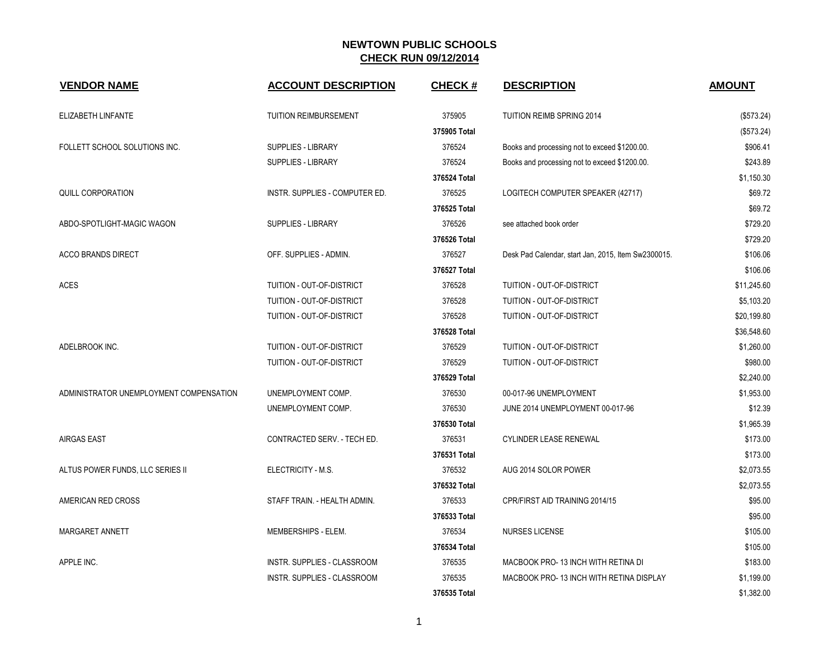| <b>VENDOR NAME</b>                      | <b>ACCOUNT DESCRIPTION</b>         | <b>CHECK#</b> | <b>DESCRIPTION</b>                                  | <b>AMOUNT</b> |
|-----------------------------------------|------------------------------------|---------------|-----------------------------------------------------|---------------|
| ELIZABETH LINFANTE                      | <b>TUITION REIMBURSEMENT</b>       | 375905        | TUITION REIMB SPRING 2014                           | (\$573.24)    |
|                                         |                                    | 375905 Total  |                                                     | (\$573.24)    |
| FOLLETT SCHOOL SOLUTIONS INC.           | SUPPLIES - LIBRARY                 | 376524        | Books and processing not to exceed \$1200.00.       | \$906.41      |
|                                         | SUPPLIES - LIBRARY                 | 376524        | Books and processing not to exceed \$1200.00.       | \$243.89      |
|                                         |                                    | 376524 Total  |                                                     | \$1,150.30    |
| <b>QUILL CORPORATION</b>                | INSTR. SUPPLIES - COMPUTER ED.     | 376525        | LOGITECH COMPUTER SPEAKER (42717)                   | \$69.72       |
|                                         |                                    | 376525 Total  |                                                     | \$69.72       |
| ABDO-SPOTLIGHT-MAGIC WAGON              | <b>SUPPLIES - LIBRARY</b>          | 376526        | see attached book order                             | \$729.20      |
|                                         |                                    | 376526 Total  |                                                     | \$729.20      |
| <b>ACCO BRANDS DIRECT</b>               | OFF. SUPPLIES - ADMIN.             | 376527        | Desk Pad Calendar, start Jan, 2015, Item Sw2300015. | \$106.06      |
|                                         |                                    | 376527 Total  |                                                     | \$106.06      |
| <b>ACES</b>                             | TUITION - OUT-OF-DISTRICT          | 376528        | TUITION - OUT-OF-DISTRICT                           | \$11,245.60   |
|                                         | TUITION - OUT-OF-DISTRICT          | 376528        | TUITION - OUT-OF-DISTRICT                           | \$5,103.20    |
|                                         | TUITION - OUT-OF-DISTRICT          | 376528        | TUITION - OUT-OF-DISTRICT                           | \$20,199.80   |
|                                         |                                    | 376528 Total  |                                                     | \$36,548.60   |
| ADELBROOK INC.                          | TUITION - OUT-OF-DISTRICT          | 376529        | TUITION - OUT-OF-DISTRICT                           | \$1,260.00    |
|                                         | TUITION - OUT-OF-DISTRICT          | 376529        | TUITION - OUT-OF-DISTRICT                           | \$980.00      |
|                                         |                                    | 376529 Total  |                                                     | \$2,240.00    |
| ADMINISTRATOR UNEMPLOYMENT COMPENSATION | UNEMPLOYMENT COMP.                 | 376530        | 00-017-96 UNEMPLOYMENT                              | \$1,953.00    |
|                                         | UNEMPLOYMENT COMP.                 | 376530        | JUNE 2014 UNEMPLOYMENT 00-017-96                    | \$12.39       |
|                                         |                                    | 376530 Total  |                                                     | \$1,965.39    |
| <b>AIRGAS EAST</b>                      | CONTRACTED SERV. - TECH ED.        | 376531        | <b>CYLINDER LEASE RENEWAL</b>                       | \$173.00      |
|                                         |                                    | 376531 Total  |                                                     | \$173.00      |
| ALTUS POWER FUNDS, LLC SERIES II        | ELECTRICITY - M.S.                 | 376532        | AUG 2014 SOLOR POWER                                | \$2,073.55    |
|                                         |                                    | 376532 Total  |                                                     | \$2,073.55    |
| AMERICAN RED CROSS                      | STAFF TRAIN. - HEALTH ADMIN.       | 376533        | CPR/FIRST AID TRAINING 2014/15                      | \$95.00       |
|                                         |                                    | 376533 Total  |                                                     | \$95.00       |
| MARGARET ANNETT                         | MEMBERSHIPS - ELEM.                | 376534        | NURSES LICENSE                                      | \$105.00      |
|                                         |                                    | 376534 Total  |                                                     | \$105.00      |
| APPLE INC.                              | INSTR. SUPPLIES - CLASSROOM        | 376535        | MACBOOK PRO-13 INCH WITH RETINA DI                  | \$183.00      |
|                                         | <b>INSTR. SUPPLIES - CLASSROOM</b> | 376535        | MACBOOK PRO-13 INCH WITH RETINA DISPLAY             | \$1,199.00    |
|                                         |                                    | 376535 Total  |                                                     | \$1,382.00    |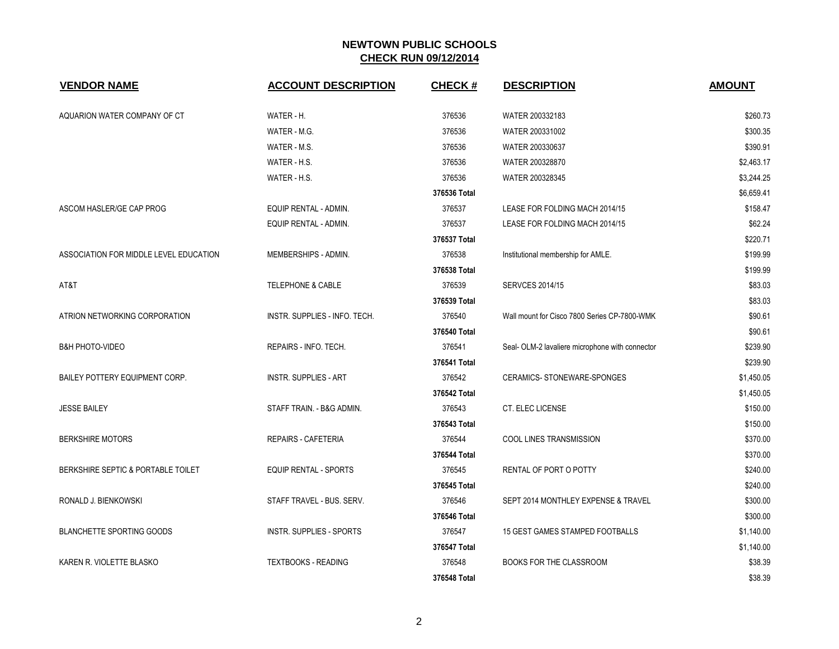| <b>VENDOR NAME</b>                     | <b>ACCOUNT DESCRIPTION</b>      | <b>CHECK#</b> | <b>DESCRIPTION</b>                              | <b>AMOUNT</b> |
|----------------------------------------|---------------------------------|---------------|-------------------------------------------------|---------------|
| AQUARION WATER COMPANY OF CT           | WATER - H.                      | 376536        | WATER 200332183                                 | \$260.73      |
|                                        | WATER - M.G.                    | 376536        | WATER 200331002                                 | \$300.35      |
|                                        | WATER - M.S.                    | 376536        | WATER 200330637                                 | \$390.91      |
|                                        | WATER - H.S.                    | 376536        | WATER 200328870                                 | \$2,463.17    |
|                                        | WATER - H.S.                    | 376536        | WATER 200328345                                 | \$3,244.25    |
|                                        |                                 | 376536 Total  |                                                 | \$6,659.41    |
| ASCOM HASLER/GE CAP PROG               | EQUIP RENTAL - ADMIN.           | 376537        | LEASE FOR FOLDING MACH 2014/15                  | \$158.47      |
|                                        | EQUIP RENTAL - ADMIN.           | 376537        | LEASE FOR FOLDING MACH 2014/15                  | \$62.24       |
|                                        |                                 | 376537 Total  |                                                 | \$220.71      |
| ASSOCIATION FOR MIDDLE LEVEL EDUCATION | MEMBERSHIPS - ADMIN.            | 376538        | Institutional membership for AMLE.              | \$199.99      |
|                                        |                                 | 376538 Total  |                                                 | \$199.99      |
| AT&T                                   | <b>TELEPHONE &amp; CABLE</b>    | 376539        | <b>SERVCES 2014/15</b>                          | \$83.03       |
|                                        |                                 | 376539 Total  |                                                 | \$83.03       |
| ATRION NETWORKING CORPORATION          | INSTR. SUPPLIES - INFO. TECH.   | 376540        | Wall mount for Cisco 7800 Series CP-7800-WMK    | \$90.61       |
|                                        |                                 | 376540 Total  |                                                 | \$90.61       |
| <b>B&amp;H PHOTO-VIDEO</b>             | REPAIRS - INFO. TECH.           | 376541        | Seal- OLM-2 lavaliere microphone with connector | \$239.90      |
|                                        |                                 | 376541 Total  |                                                 | \$239.90      |
| BAILEY POTTERY EQUIPMENT CORP.         | <b>INSTR. SUPPLIES - ART</b>    | 376542        | CERAMICS-STONEWARE-SPONGES                      | \$1,450.05    |
|                                        |                                 | 376542 Total  |                                                 | \$1,450.05    |
| <b>JESSE BAILEY</b>                    | STAFF TRAIN. - B&G ADMIN.       | 376543        | CT. ELEC LICENSE                                | \$150.00      |
|                                        |                                 | 376543 Total  |                                                 | \$150.00      |
| <b>BERKSHIRE MOTORS</b>                | <b>REPAIRS - CAFETERIA</b>      | 376544        | <b>COOL LINES TRANSMISSION</b>                  | \$370.00      |
|                                        |                                 | 376544 Total  |                                                 | \$370.00      |
| BERKSHIRE SEPTIC & PORTABLE TOILET     | <b>EQUIP RENTAL - SPORTS</b>    | 376545        | RENTAL OF PORT O POTTY                          | \$240.00      |
|                                        |                                 | 376545 Total  |                                                 | \$240.00      |
| RONALD J. BIENKOWSKI                   | STAFF TRAVEL - BUS. SERV.       | 376546        | SEPT 2014 MONTHLEY EXPENSE & TRAVEL             | \$300.00      |
|                                        |                                 | 376546 Total  |                                                 | \$300.00      |
| <b>BLANCHETTE SPORTING GOODS</b>       | <b>INSTR. SUPPLIES - SPORTS</b> | 376547        | 15 GEST GAMES STAMPED FOOTBALLS                 | \$1,140.00    |
|                                        |                                 | 376547 Total  |                                                 | \$1,140.00    |
| KAREN R. VIOLETTE BLASKO               | <b>TEXTBOOKS - READING</b>      | 376548        | <b>BOOKS FOR THE CLASSROOM</b>                  | \$38.39       |
|                                        |                                 | 376548 Total  |                                                 | \$38.39       |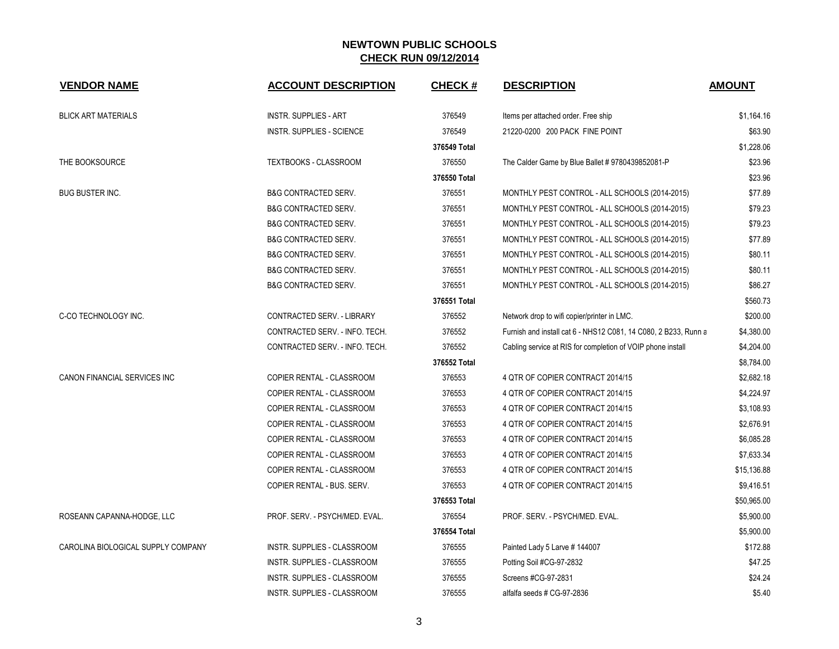| <b>VENDOR NAME</b>                 | <b>ACCOUNT DESCRIPTION</b>       | <b>CHECK#</b> | <b>DESCRIPTION</b>                                              | <b>AMOUNT</b> |
|------------------------------------|----------------------------------|---------------|-----------------------------------------------------------------|---------------|
| <b>BLICK ART MATERIALS</b>         | <b>INSTR. SUPPLIES - ART</b>     | 376549        | Items per attached order. Free ship                             | \$1,164.16    |
|                                    | <b>INSTR. SUPPLIES - SCIENCE</b> | 376549        | 21220-0200 200 PACK FINE POINT                                  | \$63.90       |
|                                    |                                  | 376549 Total  |                                                                 | \$1,228.06    |
| THE BOOKSOURCE                     | TEXTBOOKS - CLASSROOM            | 376550        | The Calder Game by Blue Ballet # 9780439852081-P                | \$23.96       |
|                                    |                                  | 376550 Total  |                                                                 | \$23.96       |
| BUG BUSTER INC.                    | <b>B&amp;G CONTRACTED SERV.</b>  | 376551        | MONTHLY PEST CONTROL - ALL SCHOOLS (2014-2015)                  | \$77.89       |
|                                    | <b>B&amp;G CONTRACTED SERV.</b>  | 376551        | MONTHLY PEST CONTROL - ALL SCHOOLS (2014-2015)                  | \$79.23       |
|                                    | <b>B&amp;G CONTRACTED SERV.</b>  | 376551        | MONTHLY PEST CONTROL - ALL SCHOOLS (2014-2015)                  | \$79.23       |
|                                    | <b>B&amp;G CONTRACTED SERV.</b>  | 376551        | MONTHLY PEST CONTROL - ALL SCHOOLS (2014-2015)                  | \$77.89       |
|                                    | <b>B&amp;G CONTRACTED SERV.</b>  | 376551        | MONTHLY PEST CONTROL - ALL SCHOOLS (2014-2015)                  | \$80.11       |
|                                    | <b>B&amp;G CONTRACTED SERV.</b>  | 376551        | MONTHLY PEST CONTROL - ALL SCHOOLS (2014-2015)                  | \$80.11       |
|                                    | <b>B&amp;G CONTRACTED SERV.</b>  | 376551        | MONTHLY PEST CONTROL - ALL SCHOOLS (2014-2015)                  | \$86.27       |
|                                    |                                  | 376551 Total  |                                                                 | \$560.73      |
| C-CO TECHNOLOGY INC.               | CONTRACTED SERV. - LIBRARY       | 376552        | Network drop to wifi copier/printer in LMC.                     | \$200.00      |
|                                    | CONTRACTED SERV. - INFO. TECH.   | 376552        | Furnish and install cat 6 - NHS12 C081, 14 C080, 2 B233, Runn a | \$4,380.00    |
|                                    | CONTRACTED SERV. - INFO. TECH.   | 376552        | Cabling service at RIS for completion of VOIP phone install     | \$4,204.00    |
|                                    |                                  | 376552 Total  |                                                                 | \$8,784.00    |
| CANON FINANCIAL SERVICES INC       | COPIER RENTAL - CLASSROOM        | 376553        | 4 QTR OF COPIER CONTRACT 2014/15                                | \$2,682.18    |
|                                    | COPIER RENTAL - CLASSROOM        | 376553        | 4 QTR OF COPIER CONTRACT 2014/15                                | \$4,224.97    |
|                                    | COPIER RENTAL - CLASSROOM        | 376553        | 4 QTR OF COPIER CONTRACT 2014/15                                | \$3,108.93    |
|                                    | COPIER RENTAL - CLASSROOM        | 376553        | 4 QTR OF COPIER CONTRACT 2014/15                                | \$2,676.91    |
|                                    | COPIER RENTAL - CLASSROOM        | 376553        | 4 QTR OF COPIER CONTRACT 2014/15                                | \$6,085.28    |
|                                    | COPIER RENTAL - CLASSROOM        | 376553        | 4 QTR OF COPIER CONTRACT 2014/15                                | \$7,633.34    |
|                                    | COPIER RENTAL - CLASSROOM        | 376553        | 4 QTR OF COPIER CONTRACT 2014/15                                | \$15,136.88   |
|                                    | COPIER RENTAL - BUS. SERV.       | 376553        | 4 QTR OF COPIER CONTRACT 2014/15                                | \$9,416.51    |
|                                    |                                  | 376553 Total  |                                                                 | \$50,965.00   |
| ROSEANN CAPANNA-HODGE, LLC         | PROF. SERV. - PSYCH/MED. EVAL.   | 376554        | PROF. SERV. - PSYCH/MED. EVAL.                                  | \$5,900.00    |
|                                    |                                  | 376554 Total  |                                                                 | \$5,900.00    |
| CAROLINA BIOLOGICAL SUPPLY COMPANY | INSTR. SUPPLIES - CLASSROOM      | 376555        | Painted Lady 5 Larve # 144007                                   | \$172.88      |
|                                    | INSTR. SUPPLIES - CLASSROOM      | 376555        | Potting Soil #CG-97-2832                                        | \$47.25       |
|                                    | INSTR. SUPPLIES - CLASSROOM      | 376555        | Screens #CG-97-2831                                             | \$24.24       |
|                                    | INSTR. SUPPLIES - CLASSROOM      | 376555        | alfalfa seeds # CG-97-2836                                      | \$5.40        |
|                                    |                                  |               |                                                                 |               |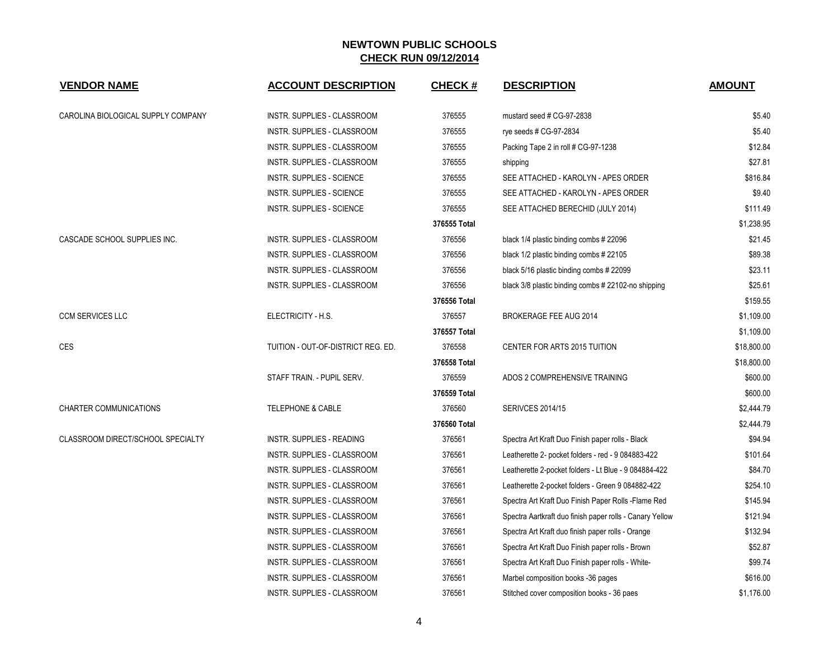| <b>VENDOR NAME</b>                 | <b>ACCOUNT DESCRIPTION</b>         | <b>CHECK#</b> | <b>DESCRIPTION</b>                                       | <b>AMOUNT</b> |
|------------------------------------|------------------------------------|---------------|----------------------------------------------------------|---------------|
| CAROLINA BIOLOGICAL SUPPLY COMPANY | INSTR. SUPPLIES - CLASSROOM        | 376555        | mustard seed # CG-97-2838                                | \$5.40        |
|                                    | INSTR. SUPPLIES - CLASSROOM        | 376555        | rye seeds # CG-97-2834                                   | \$5.40        |
|                                    | INSTR. SUPPLIES - CLASSROOM        | 376555        | Packing Tape 2 in roll # CG-97-1238                      | \$12.84       |
|                                    | INSTR. SUPPLIES - CLASSROOM        | 376555        | shipping                                                 | \$27.81       |
|                                    | <b>INSTR. SUPPLIES - SCIENCE</b>   | 376555        | SEE ATTACHED - KAROLYN - APES ORDER                      | \$816.84      |
|                                    | INSTR. SUPPLIES - SCIENCE          | 376555        | SEE ATTACHED - KAROLYN - APES ORDER                      | \$9.40        |
|                                    | <b>INSTR. SUPPLIES - SCIENCE</b>   | 376555        | SEE ATTACHED BERECHID (JULY 2014)                        | \$111.49      |
|                                    |                                    | 376555 Total  |                                                          | \$1,238.95    |
| CASCADE SCHOOL SUPPLIES INC.       | INSTR. SUPPLIES - CLASSROOM        | 376556        | black 1/4 plastic binding combs # 22096                  | \$21.45       |
|                                    | INSTR. SUPPLIES - CLASSROOM        | 376556        | black 1/2 plastic binding combs #22105                   | \$89.38       |
|                                    | INSTR. SUPPLIES - CLASSROOM        | 376556        | black 5/16 plastic binding combs # 22099                 | \$23.11       |
|                                    | INSTR. SUPPLIES - CLASSROOM        | 376556        | black 3/8 plastic binding combs # 22102-no shipping      | \$25.61       |
|                                    |                                    | 376556 Total  |                                                          | \$159.55      |
| <b>CCM SERVICES LLC</b>            | ELECTRICITY - H.S.                 | 376557        | <b>BROKERAGE FEE AUG 2014</b>                            | \$1,109.00    |
|                                    |                                    | 376557 Total  |                                                          | \$1,109.00    |
| <b>CES</b>                         | TUITION - OUT-OF-DISTRICT REG. ED. | 376558        | CENTER FOR ARTS 2015 TUITION                             | \$18,800.00   |
|                                    |                                    | 376558 Total  |                                                          | \$18,800.00   |
|                                    | STAFF TRAIN. - PUPIL SERV.         | 376559        | ADOS 2 COMPREHENSIVE TRAINING                            | \$600.00      |
|                                    |                                    | 376559 Total  |                                                          | \$600.00      |
| CHARTER COMMUNICATIONS             | <b>TELEPHONE &amp; CABLE</b>       | 376560        | <b>SERIVCES 2014/15</b>                                  | \$2,444.79    |
|                                    |                                    | 376560 Total  |                                                          | \$2,444.79    |
| CLASSROOM DIRECT/SCHOOL SPECIALTY  | <b>INSTR. SUPPLIES - READING</b>   | 376561        | Spectra Art Kraft Duo Finish paper rolls - Black         | \$94.94       |
|                                    | INSTR. SUPPLIES - CLASSROOM        | 376561        | Leatherette 2- pocket folders - red - 9 084883-422       | \$101.64      |
|                                    | INSTR. SUPPLIES - CLASSROOM        | 376561        | Leatherette 2-pocket folders - Lt Blue - 9 084884-422    | \$84.70       |
|                                    | INSTR. SUPPLIES - CLASSROOM        | 376561        | Leatherette 2-pocket folders - Green 9 084882-422        | \$254.10      |
|                                    | INSTR. SUPPLIES - CLASSROOM        | 376561        | Spectra Art Kraft Duo Finish Paper Rolls -Flame Red      | \$145.94      |
|                                    | INSTR. SUPPLIES - CLASSROOM        | 376561        | Spectra Aartkraft duo finish paper rolls - Canary Yellow | \$121.94      |
|                                    | INSTR. SUPPLIES - CLASSROOM        | 376561        | Spectra Art Kraft duo finish paper rolls - Orange        | \$132.94      |
|                                    | INSTR. SUPPLIES - CLASSROOM        | 376561        | Spectra Art Kraft Duo Finish paper rolls - Brown         | \$52.87       |
|                                    | INSTR. SUPPLIES - CLASSROOM        | 376561        | Spectra Art Kraft Duo Finish paper rolls - White-        | \$99.74       |
|                                    | INSTR. SUPPLIES - CLASSROOM        | 376561        | Marbel composition books -36 pages                       | \$616.00      |
|                                    | INSTR. SUPPLIES - CLASSROOM        | 376561        | Stitched cover composition books - 36 paes               | \$1,176.00    |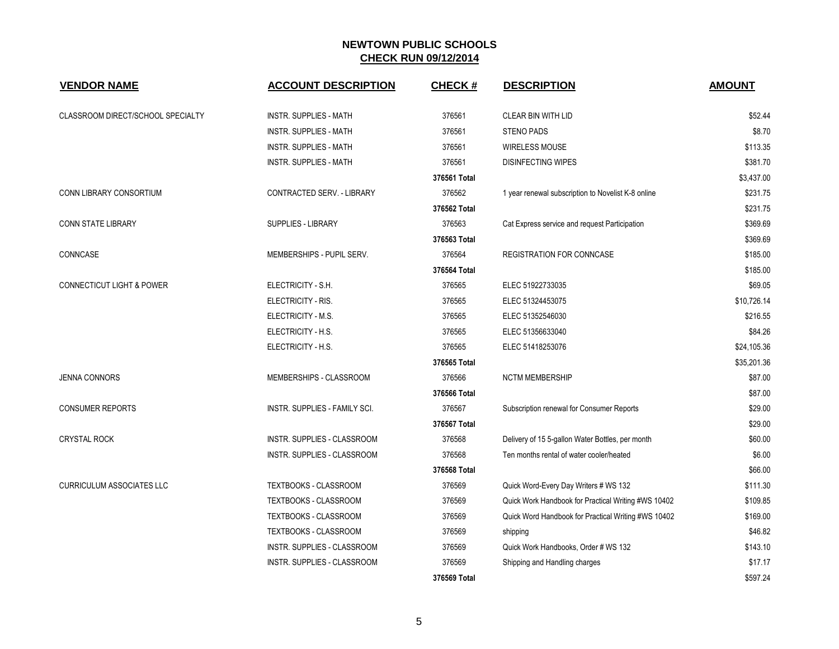| <b>VENDOR NAME</b>                   | <b>ACCOUNT DESCRIPTION</b>        | <b>CHECK#</b> | <b>DESCRIPTION</b>                                  | <b>AMOUNT</b> |
|--------------------------------------|-----------------------------------|---------------|-----------------------------------------------------|---------------|
| CLASSROOM DIRECT/SCHOOL SPECIALTY    | <b>INSTR. SUPPLIES - MATH</b>     | 376561        | CLEAR BIN WITH LID                                  | \$52.44       |
|                                      | <b>INSTR. SUPPLIES - MATH</b>     | 376561        | <b>STENO PADS</b>                                   | \$8.70        |
|                                      | <b>INSTR. SUPPLIES - MATH</b>     | 376561        | <b>WIRELESS MOUSE</b>                               | \$113.35      |
|                                      | <b>INSTR. SUPPLIES - MATH</b>     | 376561        | <b>DISINFECTING WIPES</b>                           | \$381.70      |
|                                      |                                   | 376561 Total  |                                                     | \$3,437.00    |
| CONN LIBRARY CONSORTIUM              | <b>CONTRACTED SERV. - LIBRARY</b> | 376562        | 1 year renewal subscription to Novelist K-8 online  | \$231.75      |
|                                      |                                   | 376562 Total  |                                                     | \$231.75      |
| <b>CONN STATE LIBRARY</b>            | <b>SUPPLIES - LIBRARY</b>         | 376563        | Cat Express service and request Participation       | \$369.69      |
|                                      |                                   | 376563 Total  |                                                     | \$369.69      |
| CONNCASE                             | MEMBERSHIPS - PUPIL SERV.         | 376564        | <b>REGISTRATION FOR CONNCASE</b>                    | \$185.00      |
|                                      |                                   | 376564 Total  |                                                     | \$185.00      |
| <b>CONNECTICUT LIGHT &amp; POWER</b> | ELECTRICITY - S.H.                | 376565        | ELEC 51922733035                                    | \$69.05       |
|                                      | ELECTRICITY - RIS.                | 376565        | ELEC 51324453075                                    | \$10,726.14   |
|                                      | ELECTRICITY - M.S.                | 376565        | ELEC 51352546030                                    | \$216.55      |
|                                      | ELECTRICITY - H.S.                | 376565        | ELEC 51356633040                                    | \$84.26       |
|                                      | ELECTRICITY - H.S.                | 376565        | ELEC 51418253076                                    | \$24,105.36   |
|                                      |                                   | 376565 Total  |                                                     | \$35,201.36   |
| <b>JENNA CONNORS</b>                 | MEMBERSHIPS - CLASSROOM           | 376566        | <b>NCTM MEMBERSHIP</b>                              | \$87.00       |
|                                      |                                   | 376566 Total  |                                                     | \$87.00       |
| <b>CONSUMER REPORTS</b>              | INSTR. SUPPLIES - FAMILY SCI.     | 376567        | Subscription renewal for Consumer Reports           | \$29.00       |
|                                      |                                   | 376567 Total  |                                                     | \$29.00       |
| <b>CRYSTAL ROCK</b>                  | INSTR. SUPPLIES - CLASSROOM       | 376568        | Delivery of 15 5-gallon Water Bottles, per month    | \$60.00       |
|                                      | INSTR. SUPPLIES - CLASSROOM       | 376568        | Ten months rental of water cooler/heated            | \$6.00        |
|                                      |                                   | 376568 Total  |                                                     | \$66.00       |
| <b>CURRICULUM ASSOCIATES LLC</b>     | <b>TEXTBOOKS - CLASSROOM</b>      | 376569        | Quick Word-Every Day Writers # WS 132               | \$111.30      |
|                                      | TEXTBOOKS - CLASSROOM             | 376569        | Quick Work Handbook for Practical Writing #WS 10402 | \$109.85      |
|                                      | <b>TEXTBOOKS - CLASSROOM</b>      | 376569        | Quick Word Handbook for Practical Writing #WS 10402 | \$169.00      |
|                                      | TEXTBOOKS - CLASSROOM             | 376569        | shipping                                            | \$46.82       |
|                                      | INSTR. SUPPLIES - CLASSROOM       | 376569        | Quick Work Handbooks, Order # WS 132                | \$143.10      |
|                                      | INSTR. SUPPLIES - CLASSROOM       | 376569        | Shipping and Handling charges                       | \$17.17       |
|                                      |                                   | 376569 Total  |                                                     | \$597.24      |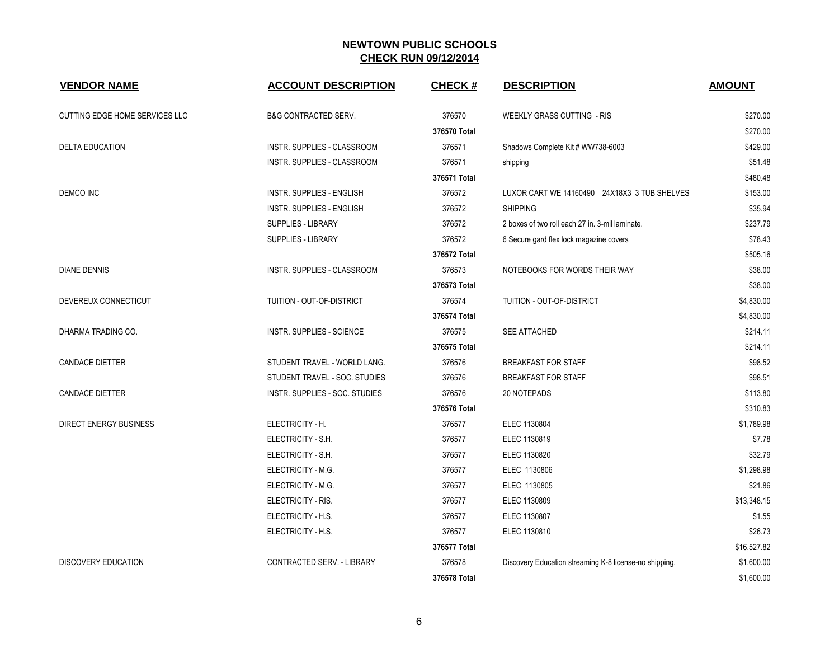| <b>VENDOR NAME</b>             | <b>ACCOUNT DESCRIPTION</b>         | <b>CHECK#</b> | <b>DESCRIPTION</b>                                     | <b>AMOUNT</b> |
|--------------------------------|------------------------------------|---------------|--------------------------------------------------------|---------------|
| CUTTING EDGE HOME SERVICES LLC | <b>B&amp;G CONTRACTED SERV.</b>    | 376570        | <b>WEEKLY GRASS CUTTING - RIS</b>                      | \$270.00      |
|                                |                                    | 376570 Total  |                                                        | \$270.00      |
| <b>DELTA EDUCATION</b>         | <b>INSTR. SUPPLIES - CLASSROOM</b> | 376571        | Shadows Complete Kit # WW738-6003                      | \$429.00      |
|                                | INSTR. SUPPLIES - CLASSROOM        | 376571        | shipping                                               | \$51.48       |
|                                |                                    | 376571 Total  |                                                        | \$480.48      |
| DEMCO INC                      | <b>INSTR. SUPPLIES - ENGLISH</b>   | 376572        | LUXOR CART WE 14160490 24X18X3 3 TUB SHELVES           | \$153.00      |
|                                | <b>INSTR. SUPPLIES - ENGLISH</b>   | 376572        | <b>SHIPPING</b>                                        | \$35.94       |
|                                | SUPPLIES - LIBRARY                 | 376572        | 2 boxes of two roll each 27 in. 3-mil laminate.        | \$237.79      |
|                                | SUPPLIES - LIBRARY                 | 376572        | 6 Secure gard flex lock magazine covers                | \$78.43       |
|                                |                                    | 376572 Total  |                                                        | \$505.16      |
| <b>DIANE DENNIS</b>            | INSTR. SUPPLIES - CLASSROOM        | 376573        | NOTEBOOKS FOR WORDS THEIR WAY                          | \$38.00       |
|                                |                                    | 376573 Total  |                                                        | \$38.00       |
| DEVEREUX CONNECTICUT           | TUITION - OUT-OF-DISTRICT          | 376574        | TUITION - OUT-OF-DISTRICT                              | \$4,830.00    |
|                                |                                    | 376574 Total  |                                                        | \$4,830.00    |
| DHARMA TRADING CO.             | <b>INSTR. SUPPLIES - SCIENCE</b>   | 376575        | <b>SEE ATTACHED</b>                                    | \$214.11      |
|                                |                                    | 376575 Total  |                                                        | \$214.11      |
| <b>CANDACE DIETTER</b>         | STUDENT TRAVEL - WORLD LANG.       | 376576        | <b>BREAKFAST FOR STAFF</b>                             | \$98.52       |
|                                | STUDENT TRAVEL - SOC. STUDIES      | 376576        | <b>BREAKFAST FOR STAFF</b>                             | \$98.51       |
| CANDACE DIETTER                | INSTR. SUPPLIES - SOC. STUDIES     | 376576        | 20 NOTEPADS                                            | \$113.80      |
|                                |                                    | 376576 Total  |                                                        | \$310.83      |
| <b>DIRECT ENERGY BUSINESS</b>  | ELECTRICITY - H.                   | 376577        | ELEC 1130804                                           | \$1,789.98    |
|                                | ELECTRICITY - S.H.                 | 376577        | ELEC 1130819                                           | \$7.78        |
|                                | ELECTRICITY - S.H.                 | 376577        | ELEC 1130820                                           | \$32.79       |
|                                | ELECTRICITY - M.G.                 | 376577        | ELEC 1130806                                           | \$1,298.98    |
|                                | ELECTRICITY - M.G.                 | 376577        | ELEC 1130805                                           | \$21.86       |
|                                | ELECTRICITY - RIS.                 | 376577        | ELEC 1130809                                           | \$13,348.15   |
|                                | ELECTRICITY - H.S.                 | 376577        | ELEC 1130807                                           | \$1.55        |
|                                | ELECTRICITY - H.S.                 | 376577        | ELEC 1130810                                           | \$26.73       |
|                                |                                    | 376577 Total  |                                                        | \$16,527.82   |
| <b>DISCOVERY EDUCATION</b>     | CONTRACTED SERV. - LIBRARY         | 376578        | Discovery Education streaming K-8 license-no shipping. | \$1,600.00    |
|                                |                                    | 376578 Total  |                                                        | \$1,600.00    |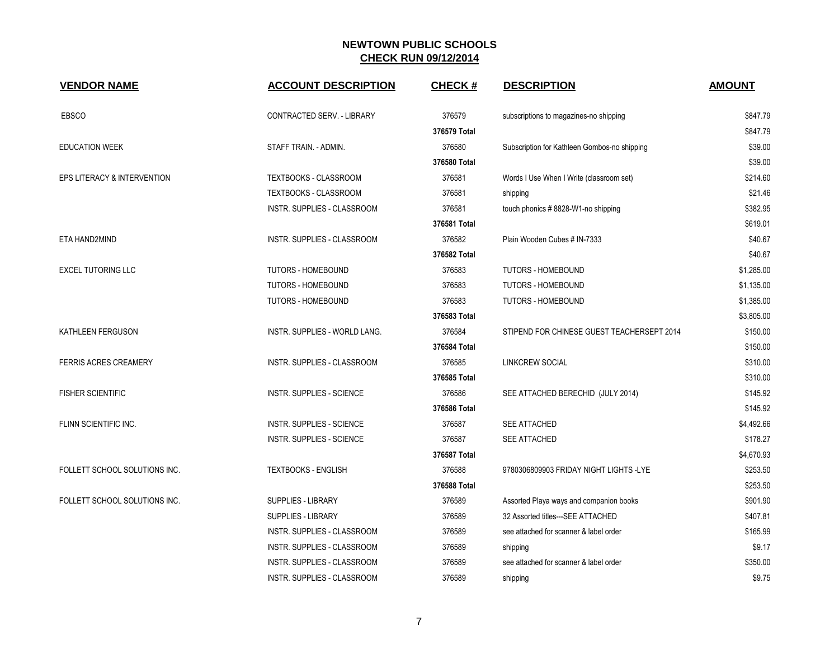| <b>VENDOR NAME</b>            | <b>ACCOUNT DESCRIPTION</b>         | <b>CHECK#</b> | <b>DESCRIPTION</b>                           | <b>AMOUNT</b> |
|-------------------------------|------------------------------------|---------------|----------------------------------------------|---------------|
| <b>EBSCO</b>                  | CONTRACTED SERV. - LIBRARY         | 376579        | subscriptions to magazines-no shipping       | \$847.79      |
|                               |                                    | 376579 Total  |                                              | \$847.79      |
| <b>EDUCATION WEEK</b>         | STAFF TRAIN. - ADMIN.              | 376580        | Subscription for Kathleen Gombos-no shipping | \$39.00       |
|                               |                                    | 376580 Total  |                                              | \$39.00       |
| EPS LITERACY & INTERVENTION   | TEXTBOOKS - CLASSROOM              | 376581        | Words I Use When I Write (classroom set)     | \$214.60      |
|                               | TEXTBOOKS - CLASSROOM              | 376581        | shipping                                     | \$21.46       |
|                               | <b>INSTR. SUPPLIES - CLASSROOM</b> | 376581        | touch phonics #8828-W1-no shipping           | \$382.95      |
|                               |                                    | 376581 Total  |                                              | \$619.01      |
| ETA HAND2MIND                 | INSTR. SUPPLIES - CLASSROOM        | 376582        | Plain Wooden Cubes # IN-7333                 | \$40.67       |
|                               |                                    | 376582 Total  |                                              | \$40.67       |
| <b>EXCEL TUTORING LLC</b>     | <b>TUTORS - HOMEBOUND</b>          | 376583        | <b>TUTORS - HOMEBOUND</b>                    | \$1,285.00    |
|                               | TUTORS - HOMEBOUND                 | 376583        | <b>TUTORS - HOMEBOUND</b>                    | \$1,135.00    |
|                               | TUTORS - HOMEBOUND                 | 376583        | <b>TUTORS - HOMEBOUND</b>                    | \$1,385.00    |
|                               |                                    | 376583 Total  |                                              | \$3,805.00    |
| KATHLEEN FERGUSON             | INSTR. SUPPLIES - WORLD LANG.      | 376584        | STIPEND FOR CHINESE GUEST TEACHERSEPT 2014   | \$150.00      |
|                               |                                    | 376584 Total  |                                              | \$150.00      |
| <b>FERRIS ACRES CREAMERY</b>  | INSTR. SUPPLIES - CLASSROOM        | 376585        | <b>LINKCREW SOCIAL</b>                       | \$310.00      |
|                               |                                    | 376585 Total  |                                              | \$310.00      |
| <b>FISHER SCIENTIFIC</b>      | <b>INSTR. SUPPLIES - SCIENCE</b>   | 376586        | SEE ATTACHED BERECHID (JULY 2014)            | \$145.92      |
|                               |                                    | 376586 Total  |                                              | \$145.92      |
| FLINN SCIENTIFIC INC.         | <b>INSTR. SUPPLIES - SCIENCE</b>   | 376587        | SEE ATTACHED                                 | \$4,492.66    |
|                               | <b>INSTR. SUPPLIES - SCIENCE</b>   | 376587        | SEE ATTACHED                                 | \$178.27      |
|                               |                                    | 376587 Total  |                                              | \$4,670.93    |
| FOLLETT SCHOOL SOLUTIONS INC. | <b>TEXTBOOKS - ENGLISH</b>         | 376588        | 9780306809903 FRIDAY NIGHT LIGHTS -LYE       | \$253.50      |
|                               |                                    | 376588 Total  |                                              | \$253.50      |
| FOLLETT SCHOOL SOLUTIONS INC. | SUPPLIES - LIBRARY                 | 376589        | Assorted Playa ways and companion books      | \$901.90      |
|                               | SUPPLIES - LIBRARY                 | 376589        | 32 Assorted titles---SEE ATTACHED            | \$407.81      |
|                               | INSTR. SUPPLIES - CLASSROOM        | 376589        | see attached for scanner & label order       | \$165.99      |
|                               | INSTR. SUPPLIES - CLASSROOM        | 376589        | shipping                                     | \$9.17        |
|                               | INSTR. SUPPLIES - CLASSROOM        | 376589        | see attached for scanner & label order       | \$350.00      |
|                               | INSTR. SUPPLIES - CLASSROOM        | 376589        | shipping                                     | \$9.75        |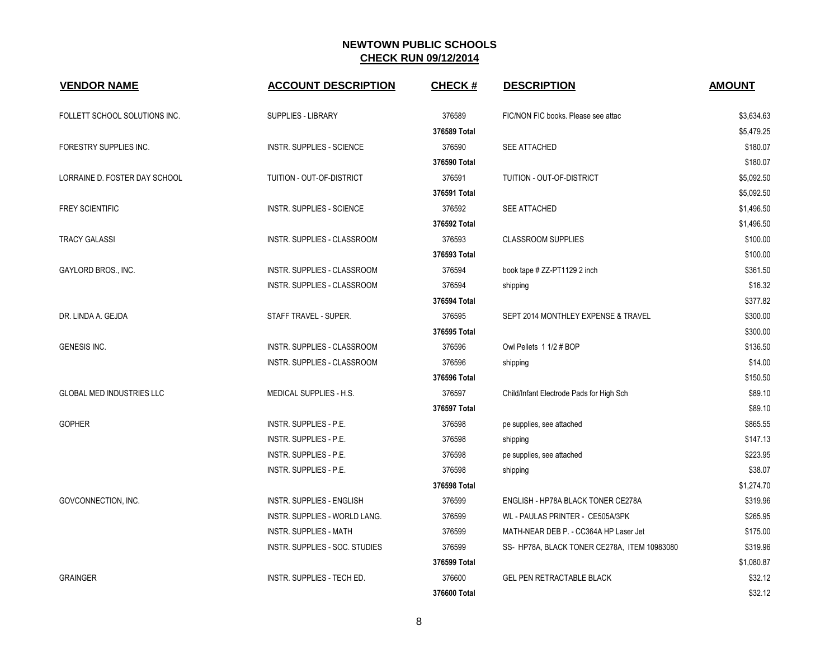| <b>VENDOR NAME</b>               | <b>ACCOUNT DESCRIPTION</b>         | <b>CHECK#</b> | <b>DESCRIPTION</b>                           | <b>AMOUNT</b> |
|----------------------------------|------------------------------------|---------------|----------------------------------------------|---------------|
| FOLLETT SCHOOL SOLUTIONS INC.    | <b>SUPPLIES - LIBRARY</b>          | 376589        | FIC/NON FIC books. Please see attac          | \$3,634.63    |
|                                  |                                    | 376589 Total  |                                              | \$5,479.25    |
| FORESTRY SUPPLIES INC.           | INSTR. SUPPLIES - SCIENCE          | 376590        | SEE ATTACHED                                 | \$180.07      |
|                                  |                                    | 376590 Total  |                                              | \$180.07      |
| LORRAINE D. FOSTER DAY SCHOOL    | TUITION - OUT-OF-DISTRICT          | 376591        | TUITION - OUT-OF-DISTRICT                    | \$5,092.50    |
|                                  |                                    | 376591 Total  |                                              | \$5,092.50    |
| <b>FREY SCIENTIFIC</b>           | INSTR. SUPPLIES - SCIENCE          | 376592        | <b>SEE ATTACHED</b>                          | \$1,496.50    |
|                                  |                                    | 376592 Total  |                                              | \$1,496.50    |
| <b>TRACY GALASSI</b>             | INSTR. SUPPLIES - CLASSROOM        | 376593        | <b>CLASSROOM SUPPLIES</b>                    | \$100.00      |
|                                  |                                    | 376593 Total  |                                              | \$100.00      |
| GAYLORD BROS., INC.              | INSTR. SUPPLIES - CLASSROOM        | 376594        | book tape # ZZ-PT1129 2 inch                 | \$361.50      |
|                                  | INSTR. SUPPLIES - CLASSROOM        | 376594        | shipping                                     | \$16.32       |
|                                  |                                    | 376594 Total  |                                              | \$377.82      |
| DR. LINDA A. GEJDA               | STAFF TRAVEL - SUPER.              | 376595        | SEPT 2014 MONTHLEY EXPENSE & TRAVEL          | \$300.00      |
|                                  |                                    | 376595 Total  |                                              | \$300.00      |
| <b>GENESIS INC.</b>              | <b>INSTR. SUPPLIES - CLASSROOM</b> | 376596        | Owl Pellets 1 1/2 # BOP                      | \$136.50      |
|                                  | INSTR. SUPPLIES - CLASSROOM        | 376596        | shipping                                     | \$14.00       |
|                                  |                                    | 376596 Total  |                                              | \$150.50      |
| <b>GLOBAL MED INDUSTRIES LLC</b> | MEDICAL SUPPLIES - H.S.            | 376597        | Child/Infant Electrode Pads for High Sch     | \$89.10       |
|                                  |                                    | 376597 Total  |                                              | \$89.10       |
| <b>GOPHER</b>                    | INSTR. SUPPLIES - P.E.             | 376598        | pe supplies, see attached                    | \$865.55      |
|                                  | INSTR. SUPPLIES - P.E.             | 376598        | shipping                                     | \$147.13      |
|                                  | INSTR. SUPPLIES - P.E.             | 376598        | pe supplies, see attached                    | \$223.95      |
|                                  | INSTR. SUPPLIES - P.E.             | 376598        | shipping                                     | \$38.07       |
|                                  |                                    | 376598 Total  |                                              | \$1,274.70    |
| GOVCONNECTION, INC.              | <b>INSTR. SUPPLIES - ENGLISH</b>   | 376599        | ENGLISH - HP78A BLACK TONER CE278A           | \$319.96      |
|                                  | INSTR. SUPPLIES - WORLD LANG.      | 376599        | WL - PAULAS PRINTER - CE505A/3PK             | \$265.95      |
|                                  | <b>INSTR. SUPPLIES - MATH</b>      | 376599        | MATH-NEAR DEB P. - CC364A HP Laser Jet       | \$175.00      |
|                                  | INSTR. SUPPLIES - SOC. STUDIES     | 376599        | SS- HP78A, BLACK TONER CE278A, ITEM 10983080 | \$319.96      |
|                                  |                                    | 376599 Total  |                                              | \$1,080.87    |
| <b>GRAINGER</b>                  | INSTR. SUPPLIES - TECH ED.         | 376600        | <b>GEL PEN RETRACTABLE BLACK</b>             | \$32.12       |
|                                  |                                    | 376600 Total  |                                              | \$32.12       |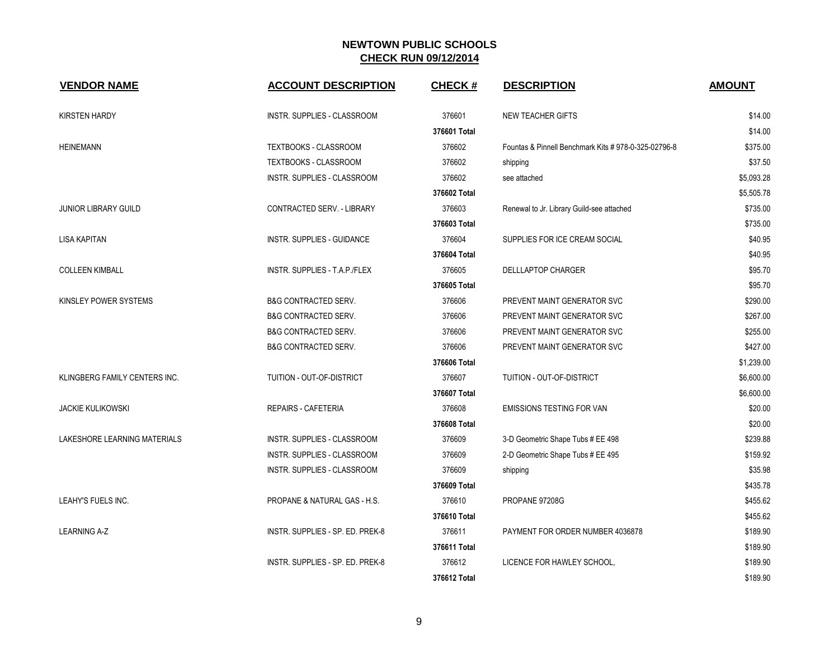| <b>VENDOR NAME</b>            | <b>ACCOUNT DESCRIPTION</b>       | <b>CHECK#</b> | <b>DESCRIPTION</b>                                   | <b>AMOUNT</b> |
|-------------------------------|----------------------------------|---------------|------------------------------------------------------|---------------|
| <b>KIRSTEN HARDY</b>          | INSTR. SUPPLIES - CLASSROOM      | 376601        | <b>NEW TEACHER GIFTS</b>                             | \$14.00       |
|                               |                                  | 376601 Total  |                                                      | \$14.00       |
| <b>HEINEMANN</b>              | TEXTBOOKS - CLASSROOM            | 376602        | Fountas & Pinnell Benchmark Kits # 978-0-325-02796-8 | \$375.00      |
|                               | TEXTBOOKS - CLASSROOM            | 376602        | shipping                                             | \$37.50       |
|                               | INSTR. SUPPLIES - CLASSROOM      | 376602        | see attached                                         | \$5,093.28    |
|                               |                                  | 376602 Total  |                                                      | \$5,505.78    |
| <b>JUNIOR LIBRARY GUILD</b>   | CONTRACTED SERV. - LIBRARY       | 376603        | Renewal to Jr. Library Guild-see attached            | \$735.00      |
|                               |                                  | 376603 Total  |                                                      | \$735.00      |
| LISA KAPITAN                  | INSTR. SUPPLIES - GUIDANCE       | 376604        | SUPPLIES FOR ICE CREAM SOCIAL                        | \$40.95       |
|                               |                                  | 376604 Total  |                                                      | \$40.95       |
| <b>COLLEEN KIMBALL</b>        | INSTR. SUPPLIES - T.A.P./FLEX    | 376605        | <b>DELLLAPTOP CHARGER</b>                            | \$95.70       |
|                               |                                  | 376605 Total  |                                                      | \$95.70       |
| KINSLEY POWER SYSTEMS         | <b>B&amp;G CONTRACTED SERV.</b>  | 376606        | PREVENT MAINT GENERATOR SVC                          | \$290.00      |
|                               | <b>B&amp;G CONTRACTED SERV.</b>  | 376606        | PREVENT MAINT GENERATOR SVC                          | \$267.00      |
|                               | <b>B&amp;G CONTRACTED SERV.</b>  | 376606        | PREVENT MAINT GENERATOR SVC                          | \$255.00      |
|                               | B&G CONTRACTED SERV.             | 376606        | PREVENT MAINT GENERATOR SVC                          | \$427.00      |
|                               |                                  | 376606 Total  |                                                      | \$1,239.00    |
| KLINGBERG FAMILY CENTERS INC. | TUITION - OUT-OF-DISTRICT        | 376607        | TUITION - OUT-OF-DISTRICT                            | \$6,600.00    |
|                               |                                  | 376607 Total  |                                                      | \$6,600.00    |
| <b>JACKIE KULIKOWSKI</b>      | <b>REPAIRS - CAFETERIA</b>       | 376608        | <b>EMISSIONS TESTING FOR VAN</b>                     | \$20.00       |
|                               |                                  | 376608 Total  |                                                      | \$20.00       |
| LAKESHORE LEARNING MATERIALS  | INSTR. SUPPLIES - CLASSROOM      | 376609        | 3-D Geometric Shape Tubs # EE 498                    | \$239.88      |
|                               | INSTR. SUPPLIES - CLASSROOM      | 376609        | 2-D Geometric Shape Tubs # EE 495                    | \$159.92      |
|                               | INSTR. SUPPLIES - CLASSROOM      | 376609        | shipping                                             | \$35.98       |
|                               |                                  | 376609 Total  |                                                      | \$435.78      |
| LEAHY'S FUELS INC.            | PROPANE & NATURAL GAS - H.S.     | 376610        | PROPANE 97208G                                       | \$455.62      |
|                               |                                  | 376610 Total  |                                                      | \$455.62      |
| <b>LEARNING A-Z</b>           | INSTR. SUPPLIES - SP. ED. PREK-8 | 376611        | PAYMENT FOR ORDER NUMBER 4036878                     | \$189.90      |
|                               |                                  | 376611 Total  |                                                      | \$189.90      |
|                               | INSTR. SUPPLIES - SP. ED. PREK-8 | 376612        | LICENCE FOR HAWLEY SCHOOL,                           | \$189.90      |
|                               |                                  | 376612 Total  |                                                      | \$189.90      |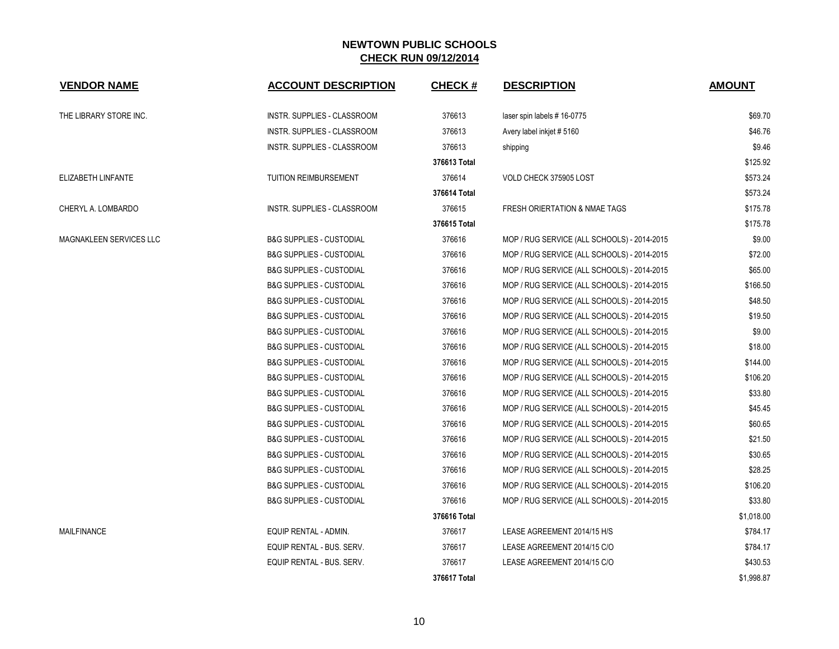| <b>VENDOR NAME</b>             | <b>ACCOUNT DESCRIPTION</b>          | <b>CHECK#</b> | <b>DESCRIPTION</b>                          | <b>AMOUNT</b> |
|--------------------------------|-------------------------------------|---------------|---------------------------------------------|---------------|
| THE LIBRARY STORE INC.         | INSTR. SUPPLIES - CLASSROOM         | 376613        | laser spin labels #16-0775                  | \$69.70       |
|                                | INSTR. SUPPLIES - CLASSROOM         | 376613        | Avery label inkjet #5160                    | \$46.76       |
|                                | INSTR. SUPPLIES - CLASSROOM         | 376613        | shipping                                    | \$9.46        |
|                                |                                     | 376613 Total  |                                             | \$125.92      |
| ELIZABETH LINFANTE             | TUITION REIMBURSEMENT               | 376614        | VOLD CHECK 375905 LOST                      | \$573.24      |
|                                |                                     | 376614 Total  |                                             | \$573.24      |
| CHERYL A. LOMBARDO             | INSTR. SUPPLIES - CLASSROOM         | 376615        | FRESH ORIERTATION & NMAE TAGS               | \$175.78      |
|                                |                                     | 376615 Total  |                                             | \$175.78      |
| <b>MAGNAKLEEN SERVICES LLC</b> | <b>B&amp;G SUPPLIES - CUSTODIAL</b> | 376616        | MOP / RUG SERVICE (ALL SCHOOLS) - 2014-2015 | \$9.00        |
|                                | <b>B&amp;G SUPPLIES - CUSTODIAL</b> | 376616        | MOP / RUG SERVICE (ALL SCHOOLS) - 2014-2015 | \$72.00       |
|                                | <b>B&amp;G SUPPLIES - CUSTODIAL</b> | 376616        | MOP / RUG SERVICE (ALL SCHOOLS) - 2014-2015 | \$65.00       |
|                                | <b>B&amp;G SUPPLIES - CUSTODIAL</b> | 376616        | MOP / RUG SERVICE (ALL SCHOOLS) - 2014-2015 | \$166.50      |
|                                | <b>B&amp;G SUPPLIES - CUSTODIAL</b> | 376616        | MOP / RUG SERVICE (ALL SCHOOLS) - 2014-2015 | \$48.50       |
|                                | <b>B&amp;G SUPPLIES - CUSTODIAL</b> | 376616        | MOP / RUG SERVICE (ALL SCHOOLS) - 2014-2015 | \$19.50       |
|                                | <b>B&amp;G SUPPLIES - CUSTODIAL</b> | 376616        | MOP / RUG SERVICE (ALL SCHOOLS) - 2014-2015 | \$9.00        |
|                                | <b>B&amp;G SUPPLIES - CUSTODIAL</b> | 376616        | MOP / RUG SERVICE (ALL SCHOOLS) - 2014-2015 | \$18.00       |
|                                | <b>B&amp;G SUPPLIES - CUSTODIAL</b> | 376616        | MOP / RUG SERVICE (ALL SCHOOLS) - 2014-2015 | \$144.00      |
|                                | <b>B&amp;G SUPPLIES - CUSTODIAL</b> | 376616        | MOP / RUG SERVICE (ALL SCHOOLS) - 2014-2015 | \$106.20      |
|                                | <b>B&amp;G SUPPLIES - CUSTODIAL</b> | 376616        | MOP / RUG SERVICE (ALL SCHOOLS) - 2014-2015 | \$33.80       |
|                                | <b>B&amp;G SUPPLIES - CUSTODIAL</b> | 376616        | MOP / RUG SERVICE (ALL SCHOOLS) - 2014-2015 | \$45.45       |
|                                | <b>B&amp;G SUPPLIES - CUSTODIAL</b> | 376616        | MOP / RUG SERVICE (ALL SCHOOLS) - 2014-2015 | \$60.65       |
|                                | <b>B&amp;G SUPPLIES - CUSTODIAL</b> | 376616        | MOP / RUG SERVICE (ALL SCHOOLS) - 2014-2015 | \$21.50       |
|                                | <b>B&amp;G SUPPLIES - CUSTODIAL</b> | 376616        | MOP / RUG SERVICE (ALL SCHOOLS) - 2014-2015 | \$30.65       |
|                                | <b>B&amp;G SUPPLIES - CUSTODIAL</b> | 376616        | MOP / RUG SERVICE (ALL SCHOOLS) - 2014-2015 | \$28.25       |
|                                | <b>B&amp;G SUPPLIES - CUSTODIAL</b> | 376616        | MOP / RUG SERVICE (ALL SCHOOLS) - 2014-2015 | \$106.20      |
|                                | <b>B&amp;G SUPPLIES - CUSTODIAL</b> | 376616        | MOP / RUG SERVICE (ALL SCHOOLS) - 2014-2015 | \$33.80       |
|                                |                                     | 376616 Total  |                                             | \$1,018.00    |
| <b>MAILFINANCE</b>             | EQUIP RENTAL - ADMIN.               | 376617        | LEASE AGREEMENT 2014/15 H/S                 | \$784.17      |
|                                | EQUIP RENTAL - BUS. SERV.           | 376617        | LEASE AGREEMENT 2014/15 C/O                 | \$784.17      |
|                                | EQUIP RENTAL - BUS. SERV.           | 376617        | LEASE AGREEMENT 2014/15 C/O                 | \$430.53      |
|                                |                                     | 376617 Total  |                                             | \$1,998.87    |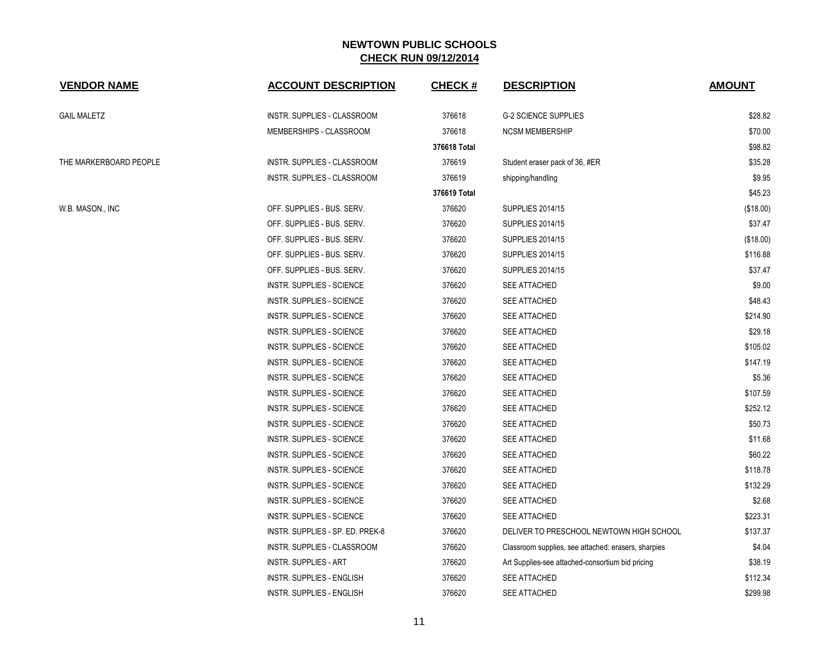| <b>VENDOR NAME</b>     | <b>ACCOUNT DESCRIPTION</b>       | <b>CHECK#</b> | <b>DESCRIPTION</b>                                  | <b>AMOUNT</b> |
|------------------------|----------------------------------|---------------|-----------------------------------------------------|---------------|
| GAIL MALETZ            | INSTR. SUPPLIES - CLASSROOM      | 376618        | <b>G-2 SCIENCE SUPPLIES</b>                         | \$28.82       |
|                        | MEMBERSHIPS - CLASSROOM          | 376618        | <b>NCSM MEMBERSHIP</b>                              | \$70.00       |
|                        |                                  | 376618 Total  |                                                     | \$98.82       |
| THE MARKERBOARD PEOPLE | INSTR. SUPPLIES - CLASSROOM      | 376619        | Student eraser pack of 36, #ER                      | \$35.28       |
|                        | INSTR. SUPPLIES - CLASSROOM      | 376619        | shipping/handling                                   | \$9.95        |
|                        |                                  | 376619 Total  |                                                     | \$45.23       |
| W.B. MASON., INC       | OFF. SUPPLIES - BUS. SERV.       | 376620        | <b>SUPPLIES 2014/15</b>                             | (\$18.00)     |
|                        | OFF. SUPPLIES - BUS. SERV.       | 376620        | <b>SUPPLIES 2014/15</b>                             | \$37.47       |
|                        | OFF. SUPPLIES - BUS. SERV.       | 376620        | <b>SUPPLIES 2014/15</b>                             | (\$18.00)     |
|                        | OFF. SUPPLIES - BUS. SERV.       | 376620        | <b>SUPPLIES 2014/15</b>                             | \$116.88      |
|                        | OFF. SUPPLIES - BUS. SERV.       | 376620        | <b>SUPPLIES 2014/15</b>                             | \$37.47       |
|                        | <b>INSTR. SUPPLIES - SCIENCE</b> | 376620        | SEE ATTACHED                                        | \$9.00        |
|                        | INSTR. SUPPLIES - SCIENCE        | 376620        | <b>SEE ATTACHED</b>                                 | \$48.43       |
|                        | INSTR. SUPPLIES - SCIENCE        | 376620        | <b>SEE ATTACHED</b>                                 | \$214.90      |
|                        | <b>INSTR. SUPPLIES - SCIENCE</b> | 376620        | SEE ATTACHED                                        | \$29.18       |
|                        | INSTR. SUPPLIES - SCIENCE        | 376620        | SEE ATTACHED                                        | \$105.02      |
|                        | <b>INSTR. SUPPLIES - SCIENCE</b> | 376620        | SEE ATTACHED                                        | \$147.19      |
|                        | INSTR. SUPPLIES - SCIENCE        | 376620        | SEE ATTACHED                                        | \$5.36        |
|                        | INSTR. SUPPLIES - SCIENCE        | 376620        | SEE ATTACHED                                        | \$107.59      |
|                        | INSTR. SUPPLIES - SCIENCE        | 376620        | <b>SEE ATTACHED</b>                                 | \$252.12      |
|                        | INSTR. SUPPLIES - SCIENCE        | 376620        | SEE ATTACHED                                        | \$50.73       |
|                        | <b>INSTR. SUPPLIES - SCIENCE</b> | 376620        | <b>SEE ATTACHED</b>                                 | \$11.68       |
|                        | <b>INSTR. SUPPLIES - SCIENCE</b> | 376620        | <b>SEE ATTACHED</b>                                 | \$60.22       |
|                        | <b>INSTR. SUPPLIES - SCIENCE</b> | 376620        | SEE ATTACHED                                        | \$118.78      |
|                        | <b>INSTR. SUPPLIES - SCIENCE</b> | 376620        | SEE ATTACHED                                        | \$132.29      |
|                        | INSTR. SUPPLIES - SCIENCE        | 376620        | <b>SEE ATTACHED</b>                                 | \$2.68        |
|                        | <b>INSTR. SUPPLIES - SCIENCE</b> | 376620        | SEE ATTACHED                                        | \$223.31      |
|                        | INSTR. SUPPLIES - SP. ED. PREK-8 | 376620        | DELIVER TO PRESCHOOL NEWTOWN HIGH SCHOOL            | \$137.37      |
|                        | INSTR. SUPPLIES - CLASSROOM      | 376620        | Classroom supplies, see attached: erasers, sharpies | \$4.04        |
|                        | <b>INSTR. SUPPLIES - ART</b>     | 376620        | Art Supplies-see attached-consortium bid pricing    | \$38.19       |
|                        | <b>INSTR. SUPPLIES - ENGLISH</b> | 376620        | SEE ATTACHED                                        | \$112.34      |
|                        | <b>INSTR. SUPPLIES - ENGLISH</b> | 376620        | SEE ATTACHED                                        | \$299.98      |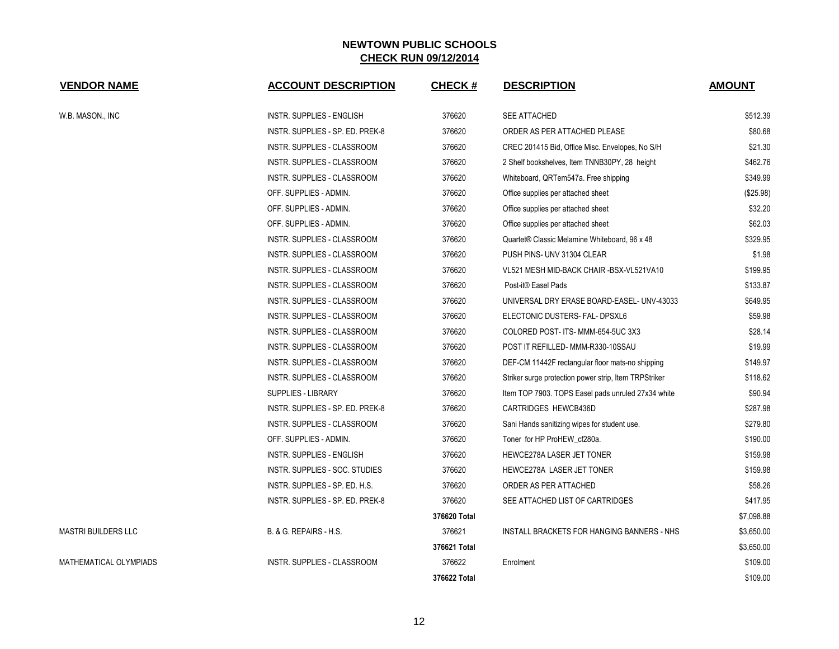| <b>VENDOR NAME</b>         | <b>ACCOUNT DESCRIPTION</b>         | <b>CHECK#</b> | <b>DESCRIPTION</b>                                    | <b>AMOUNT</b> |
|----------------------------|------------------------------------|---------------|-------------------------------------------------------|---------------|
| W.B. MASON., INC           | <b>INSTR. SUPPLIES - ENGLISH</b>   | 376620        | <b>SEE ATTACHED</b>                                   | \$512.39      |
|                            | INSTR. SUPPLIES - SP. ED. PREK-8   | 376620        | ORDER AS PER ATTACHED PLEASE                          | \$80.68       |
|                            | INSTR. SUPPLIES - CLASSROOM        | 376620        | CREC 201415 Bid, Office Misc. Envelopes, No S/H       | \$21.30       |
|                            | INSTR. SUPPLIES - CLASSROOM        | 376620        | 2 Shelf bookshelves, Item TNNB30PY, 28 height         | \$462.76      |
|                            | INSTR. SUPPLIES - CLASSROOM        | 376620        | Whiteboard, QRTem547a. Free shipping                  | \$349.99      |
|                            | OFF. SUPPLIES - ADMIN.             | 376620        | Office supplies per attached sheet                    | (\$25.98)     |
|                            | OFF. SUPPLIES - ADMIN.             | 376620        | Office supplies per attached sheet                    | \$32.20       |
|                            | OFF. SUPPLIES - ADMIN.             | 376620        | Office supplies per attached sheet                    | \$62.03       |
|                            | <b>INSTR. SUPPLIES - CLASSROOM</b> | 376620        | Quartet® Classic Melamine Whiteboard, 96 x 48         | \$329.95      |
|                            | INSTR. SUPPLIES - CLASSROOM        | 376620        | PUSH PINS- UNV 31304 CLEAR                            | \$1.98        |
|                            | INSTR. SUPPLIES - CLASSROOM        | 376620        | VL521 MESH MID-BACK CHAIR -BSX-VL521VA10              | \$199.95      |
|                            | INSTR. SUPPLIES - CLASSROOM        | 376620        | Post-it® Easel Pads                                   | \$133.87      |
|                            | INSTR. SUPPLIES - CLASSROOM        | 376620        | UNIVERSAL DRY ERASE BOARD-EASEL- UNV-43033            | \$649.95      |
|                            | INSTR. SUPPLIES - CLASSROOM        | 376620        | ELECTONIC DUSTERS- FAL- DPSXL6                        | \$59.98       |
|                            | INSTR. SUPPLIES - CLASSROOM        | 376620        | COLORED POST- ITS- MMM-654-5UC 3X3                    | \$28.14       |
|                            | INSTR. SUPPLIES - CLASSROOM        | 376620        | POST IT REFILLED- MMM-R330-10SSAU                     | \$19.99       |
|                            | INSTR. SUPPLIES - CLASSROOM        | 376620        | DEF-CM 11442F rectangular floor mats-no shipping      | \$149.97      |
|                            | INSTR. SUPPLIES - CLASSROOM        | 376620        | Striker surge protection power strip, Item TRPStriker | \$118.62      |
|                            | <b>SUPPLIES - LIBRARY</b>          | 376620        | Item TOP 7903. TOPS Easel pads unruled 27x34 white    | \$90.94       |
|                            | INSTR. SUPPLIES - SP. ED. PREK-8   | 376620        | <b>CARTRIDGES HEWCB436D</b>                           | \$287.98      |
|                            | INSTR. SUPPLIES - CLASSROOM        | 376620        | Sani Hands sanitizing wipes for student use.          | \$279.80      |
|                            | OFF. SUPPLIES - ADMIN.             | 376620        | Toner for HP ProHEW_cf280a.                           | \$190.00      |
|                            | INSTR. SUPPLIES - ENGLISH          | 376620        | HEWCE278A LASER JET TONER                             | \$159.98      |
|                            | INSTR. SUPPLIES - SOC. STUDIES     | 376620        | HEWCE278A LASER JET TONER                             | \$159.98      |
|                            | INSTR. SUPPLIES - SP. ED. H.S.     | 376620        | ORDER AS PER ATTACHED                                 | \$58.26       |
|                            | INSTR. SUPPLIES - SP. ED. PREK-8   | 376620        | SEE ATTACHED LIST OF CARTRIDGES                       | \$417.95      |
|                            |                                    | 376620 Total  |                                                       | \$7,098.88    |
| <b>MASTRI BUILDERS LLC</b> | B. & G. REPAIRS - H.S.             | 376621        | INSTALL BRACKETS FOR HANGING BANNERS - NHS            | \$3,650.00    |
|                            |                                    | 376621 Total  |                                                       | \$3,650.00    |
| MATHEMATICAL OLYMPIADS     | INSTR. SUPPLIES - CLASSROOM        | 376622        | Enrolment                                             | \$109.00      |
|                            |                                    | 376622 Total  |                                                       | \$109.00      |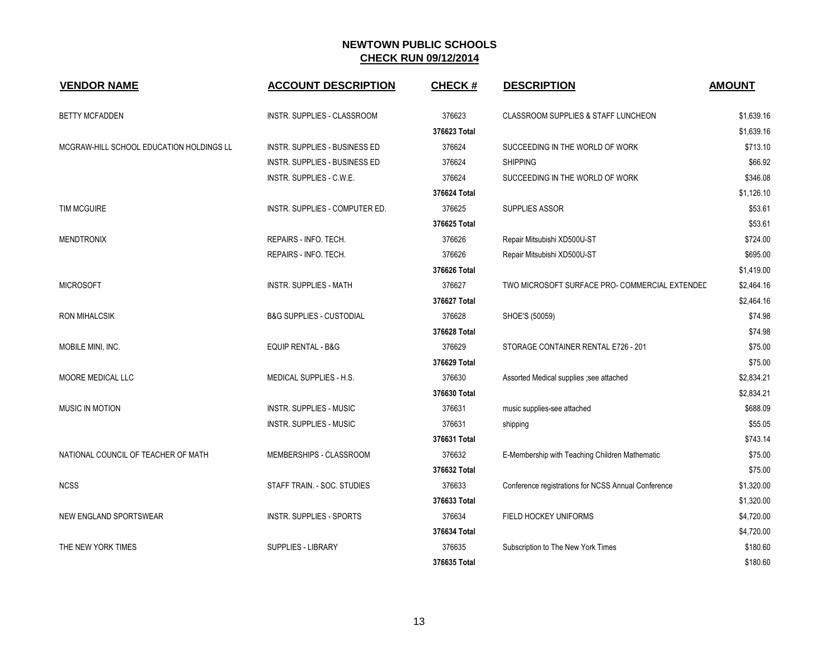| <b>VENDOR NAME</b>                       | <b>ACCOUNT DESCRIPTION</b>           | <b>CHECK#</b> | <b>DESCRIPTION</b>                                  | <b>AMOUNT</b> |
|------------------------------------------|--------------------------------------|---------------|-----------------------------------------------------|---------------|
| <b>BETTY MCFADDEN</b>                    | INSTR. SUPPLIES - CLASSROOM          | 376623        | CLASSROOM SUPPLIES & STAFF LUNCHEON                 | \$1,639.16    |
|                                          |                                      | 376623 Total  |                                                     | \$1,639.16    |
| MCGRAW-HILL SCHOOL EDUCATION HOLDINGS LL | <b>INSTR. SUPPLIES - BUSINESS ED</b> | 376624        | SUCCEEDING IN THE WORLD OF WORK                     | \$713.10      |
|                                          | <b>INSTR. SUPPLIES - BUSINESS ED</b> | 376624        | <b>SHIPPING</b>                                     | \$66.92       |
|                                          | INSTR. SUPPLIES - C.W.E.             | 376624        | SUCCEEDING IN THE WORLD OF WORK                     | \$346.08      |
|                                          |                                      | 376624 Total  |                                                     | \$1,126.10    |
| <b>TIM MCGUIRE</b>                       | INSTR. SUPPLIES - COMPUTER ED.       | 376625        | <b>SUPPLIES ASSOR</b>                               | \$53.61       |
|                                          |                                      | 376625 Total  |                                                     | \$53.61       |
| <b>MENDTRONIX</b>                        | REPAIRS - INFO. TECH.                | 376626        | Repair Mitsubishi XD500U-ST                         | \$724.00      |
|                                          | REPAIRS - INFO. TECH.                | 376626        | Repair Mitsubishi XD500U-ST                         | \$695.00      |
|                                          |                                      | 376626 Total  |                                                     | \$1,419.00    |
| <b>MICROSOFT</b>                         | <b>INSTR. SUPPLIES - MATH</b>        | 376627        | TWO MICROSOFT SURFACE PRO- COMMERCIAL EXTENDED      | \$2,464.16    |
|                                          |                                      | 376627 Total  |                                                     | \$2,464.16    |
| <b>RON MIHALCSIK</b>                     | <b>B&amp;G SUPPLIES - CUSTODIAL</b>  | 376628        | SHOE'S (50059)                                      | \$74.98       |
|                                          |                                      | 376628 Total  |                                                     | \$74.98       |
| MOBILE MINI, INC.                        | <b>EQUIP RENTAL - B&amp;G</b>        | 376629        | STORAGE CONTAINER RENTAL E726 - 201                 | \$75.00       |
|                                          |                                      | 376629 Total  |                                                     | \$75.00       |
| MOORE MEDICAL LLC                        | <b>MEDICAL SUPPLIES - H.S.</b>       | 376630        | Assorted Medical supplies ; see attached            | \$2,834.21    |
|                                          |                                      | 376630 Total  |                                                     | \$2,834.21    |
| <b>MUSIC IN MOTION</b>                   | <b>INSTR. SUPPLIES - MUSIC</b>       | 376631        | music supplies-see attached                         | \$688.09      |
|                                          | <b>INSTR. SUPPLIES - MUSIC</b>       | 376631        | shipping                                            | \$55.05       |
|                                          |                                      | 376631 Total  |                                                     | \$743.14      |
| NATIONAL COUNCIL OF TEACHER OF MATH      | MEMBERSHIPS - CLASSROOM              | 376632        | E-Membership with Teaching Children Mathematic      | \$75.00       |
|                                          |                                      | 376632 Total  |                                                     | \$75.00       |
| <b>NCSS</b>                              | STAFF TRAIN. - SOC. STUDIES          | 376633        | Conference registrations for NCSS Annual Conference | \$1,320.00    |
|                                          |                                      | 376633 Total  |                                                     | \$1,320.00    |
| NEW ENGLAND SPORTSWEAR                   | <b>INSTR. SUPPLIES - SPORTS</b>      | 376634        | FIELD HOCKEY UNIFORMS                               | \$4,720.00    |
|                                          |                                      | 376634 Total  |                                                     | \$4,720.00    |
| THE NEW YORK TIMES                       | <b>SUPPLIES - LIBRARY</b>            | 376635        | Subscription to The New York Times                  | \$180.60      |
|                                          |                                      | 376635 Total  |                                                     | \$180.60      |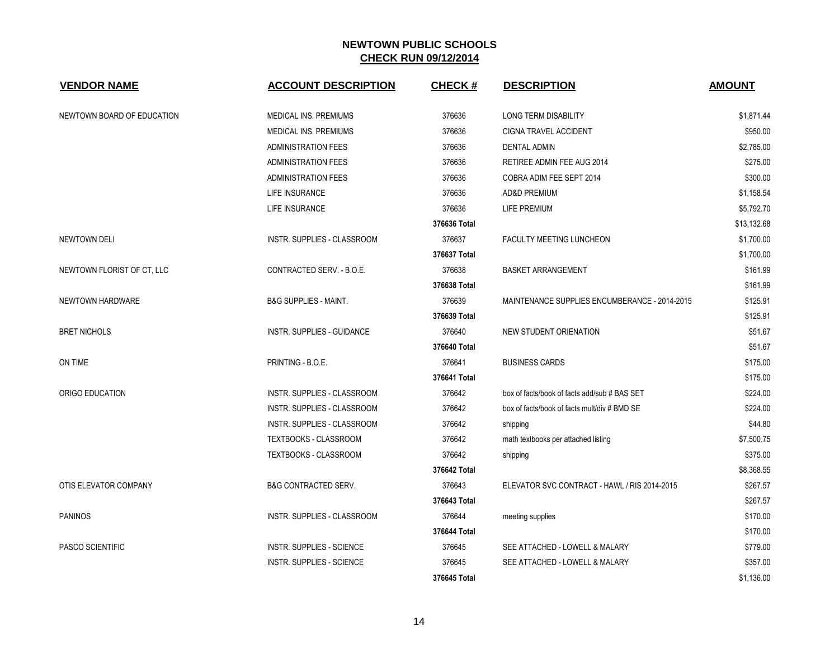| <b>VENDOR NAME</b>         | <b>ACCOUNT DESCRIPTION</b>         | <b>CHECK#</b> | <b>DESCRIPTION</b>                            | <b>AMOUNT</b> |
|----------------------------|------------------------------------|---------------|-----------------------------------------------|---------------|
| NEWTOWN BOARD OF EDUCATION | <b>MEDICAL INS. PREMIUMS</b>       | 376636        | <b>LONG TERM DISABILITY</b>                   | \$1,871.44    |
|                            | MEDICAL INS. PREMIUMS              | 376636        | <b>CIGNA TRAVEL ACCIDENT</b>                  | \$950.00      |
|                            | <b>ADMINISTRATION FEES</b>         | 376636        | <b>DENTAL ADMIN</b>                           | \$2,785.00    |
|                            | <b>ADMINISTRATION FEES</b>         | 376636        | RETIREE ADMIN FEE AUG 2014                    | \$275.00      |
|                            | <b>ADMINISTRATION FEES</b>         | 376636        | COBRA ADIM FEE SEPT 2014                      | \$300.00      |
|                            | LIFE INSURANCE                     | 376636        | <b>AD&amp;D PREMIUM</b>                       | \$1,158.54    |
|                            | LIFE INSURANCE                     | 376636        | <b>LIFE PREMIUM</b>                           | \$5,792.70    |
|                            |                                    | 376636 Total  |                                               | \$13,132.68   |
| <b>NEWTOWN DELI</b>        | <b>INSTR. SUPPLIES - CLASSROOM</b> | 376637        | <b>FACULTY MEETING LUNCHEON</b>               | \$1,700.00    |
|                            |                                    | 376637 Total  |                                               | \$1,700.00    |
| NEWTOWN FLORIST OF CT, LLC | CONTRACTED SERV. - B.O.E.          | 376638        | <b>BASKET ARRANGEMENT</b>                     | \$161.99      |
|                            |                                    | 376638 Total  |                                               | \$161.99      |
| NEWTOWN HARDWARE           | <b>B&amp;G SUPPLIES - MAINT.</b>   | 376639        | MAINTENANCE SUPPLIES ENCUMBERANCE - 2014-2015 | \$125.91      |
|                            |                                    | 376639 Total  |                                               | \$125.91      |
| <b>BRET NICHOLS</b>        | <b>INSTR. SUPPLIES - GUIDANCE</b>  | 376640        | NEW STUDENT ORIENATION                        | \$51.67       |
|                            |                                    | 376640 Total  |                                               | \$51.67       |
| ON TIME                    | PRINTING - B.O.E.                  | 376641        | <b>BUSINESS CARDS</b>                         | \$175.00      |
|                            |                                    | 376641 Total  |                                               | \$175.00      |
| ORIGO EDUCATION            | INSTR. SUPPLIES - CLASSROOM        | 376642        | box of facts/book of facts add/sub # BAS SET  | \$224.00      |
|                            | INSTR. SUPPLIES - CLASSROOM        | 376642        | box of facts/book of facts mult/div # BMD SE  | \$224.00      |
|                            | <b>INSTR. SUPPLIES - CLASSROOM</b> | 376642        | shipping                                      | \$44.80       |
|                            | TEXTBOOKS - CLASSROOM              | 376642        | math textbooks per attached listing           | \$7,500.75    |
|                            | TEXTBOOKS - CLASSROOM              | 376642        | shipping                                      | \$375.00      |
|                            |                                    | 376642 Total  |                                               | \$8,368.55    |
| OTIS ELEVATOR COMPANY      | <b>B&amp;G CONTRACTED SERV.</b>    | 376643        | ELEVATOR SVC CONTRACT - HAWL / RIS 2014-2015  | \$267.57      |
|                            |                                    | 376643 Total  |                                               | \$267.57      |
| <b>PANINOS</b>             | INSTR. SUPPLIES - CLASSROOM        | 376644        | meeting supplies                              | \$170.00      |
|                            |                                    | 376644 Total  |                                               | \$170.00      |
| <b>PASCO SCIENTIFIC</b>    | <b>INSTR. SUPPLIES - SCIENCE</b>   | 376645        | SEE ATTACHED - LOWELL & MALARY                | \$779.00      |
|                            | <b>INSTR. SUPPLIES - SCIENCE</b>   | 376645        | SEE ATTACHED - LOWELL & MALARY                | \$357.00      |
|                            |                                    | 376645 Total  |                                               | \$1,136.00    |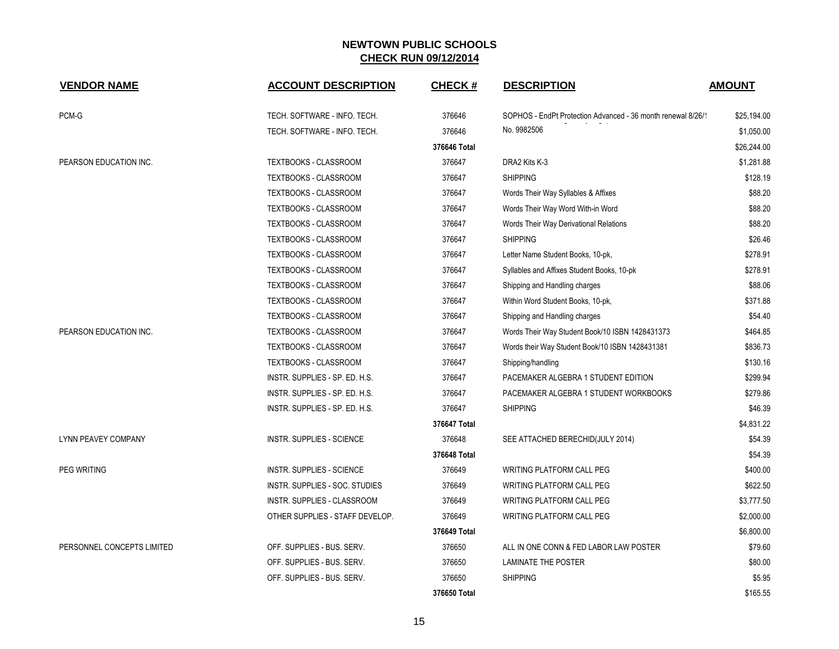| <b>VENDOR NAME</b>         | <b>ACCOUNT DESCRIPTION</b>      | <b>CHECK#</b> | <b>DESCRIPTION</b>                                           | <b>AMOUNT</b> |
|----------------------------|---------------------------------|---------------|--------------------------------------------------------------|---------------|
| PCM-G                      | TECH. SOFTWARE - INFO. TECH.    | 376646        | SOPHOS - EndPt Protection Advanced - 36 month renewal 8/26/1 | \$25,194.00   |
|                            | TECH. SOFTWARE - INFO. TECH.    | 376646        | No. 9982506                                                  | \$1,050.00    |
|                            |                                 | 376646 Total  |                                                              | \$26,244.00   |
| PEARSON EDUCATION INC.     | TEXTBOOKS - CLASSROOM           | 376647        | DRA2 Kits K-3                                                | \$1,281.88    |
|                            | TEXTBOOKS - CLASSROOM           | 376647        | <b>SHIPPING</b>                                              | \$128.19      |
|                            | TEXTBOOKS - CLASSROOM           | 376647        | Words Their Way Syllables & Affixes                          | \$88.20       |
|                            | TEXTBOOKS - CLASSROOM           | 376647        | Words Their Way Word With-in Word                            | \$88.20       |
|                            | TEXTBOOKS - CLASSROOM           | 376647        | Words Their Way Derivational Relations                       | \$88.20       |
|                            | <b>TEXTBOOKS - CLASSROOM</b>    | 376647        | <b>SHIPPING</b>                                              | \$26.46       |
|                            | TEXTBOOKS - CLASSROOM           | 376647        | Letter Name Student Books, 10-pk,                            | \$278.91      |
|                            | TEXTBOOKS - CLASSROOM           | 376647        | Syllables and Affixes Student Books, 10-pk                   | \$278.91      |
|                            | <b>TEXTBOOKS - CLASSROOM</b>    | 376647        | Shipping and Handling charges                                | \$88.06       |
|                            | TEXTBOOKS - CLASSROOM           | 376647        | Within Word Student Books, 10-pk,                            | \$371.88      |
|                            | TEXTBOOKS - CLASSROOM           | 376647        | Shipping and Handling charges                                | \$54.40       |
| PEARSON EDUCATION INC.     | TEXTBOOKS - CLASSROOM           | 376647        | Words Their Way Student Book/10 ISBN 1428431373              | \$464.85      |
|                            | TEXTBOOKS - CLASSROOM           | 376647        | Words their Way Student Book/10 ISBN 1428431381              | \$836.73      |
|                            | TEXTBOOKS - CLASSROOM           | 376647        | Shipping/handling                                            | \$130.16      |
|                            | INSTR. SUPPLIES - SP. ED. H.S.  | 376647        | PACEMAKER ALGEBRA 1 STUDENT EDITION                          | \$299.94      |
|                            | INSTR. SUPPLIES - SP. ED. H.S.  | 376647        | PACEMAKER ALGEBRA 1 STUDENT WORKBOOKS                        | \$279.86      |
|                            | INSTR. SUPPLIES - SP. ED. H.S.  | 376647        | <b>SHIPPING</b>                                              | \$46.39       |
|                            |                                 | 376647 Total  |                                                              | \$4,831.22    |
| <b>LYNN PEAVEY COMPANY</b> | INSTR. SUPPLIES - SCIENCE       | 376648        | SEE ATTACHED BERECHID(JULY 2014)                             | \$54.39       |
|                            |                                 | 376648 Total  |                                                              | \$54.39       |
| <b>PEG WRITING</b>         | INSTR. SUPPLIES - SCIENCE       | 376649        | WRITING PLATFORM CALL PEG                                    | \$400.00      |
|                            | INSTR. SUPPLIES - SOC. STUDIES  | 376649        | WRITING PLATFORM CALL PEG                                    | \$622.50      |
|                            | INSTR. SUPPLIES - CLASSROOM     | 376649        | WRITING PLATFORM CALL PEG                                    | \$3,777.50    |
|                            | OTHER SUPPLIES - STAFF DEVELOP. | 376649        | WRITING PLATFORM CALL PEG                                    | \$2,000.00    |
|                            |                                 | 376649 Total  |                                                              | \$6,800.00    |
| PERSONNEL CONCEPTS LIMITED | OFF. SUPPLIES - BUS. SERV.      | 376650        | ALL IN ONE CONN & FED LABOR LAW POSTER                       | \$79.60       |
|                            | OFF. SUPPLIES - BUS. SERV.      | 376650        | LAMINATE THE POSTER                                          | \$80.00       |
|                            | OFF. SUPPLIES - BUS. SERV.      | 376650        | <b>SHIPPING</b>                                              | \$5.95        |
|                            |                                 | 376650 Total  |                                                              | \$165.55      |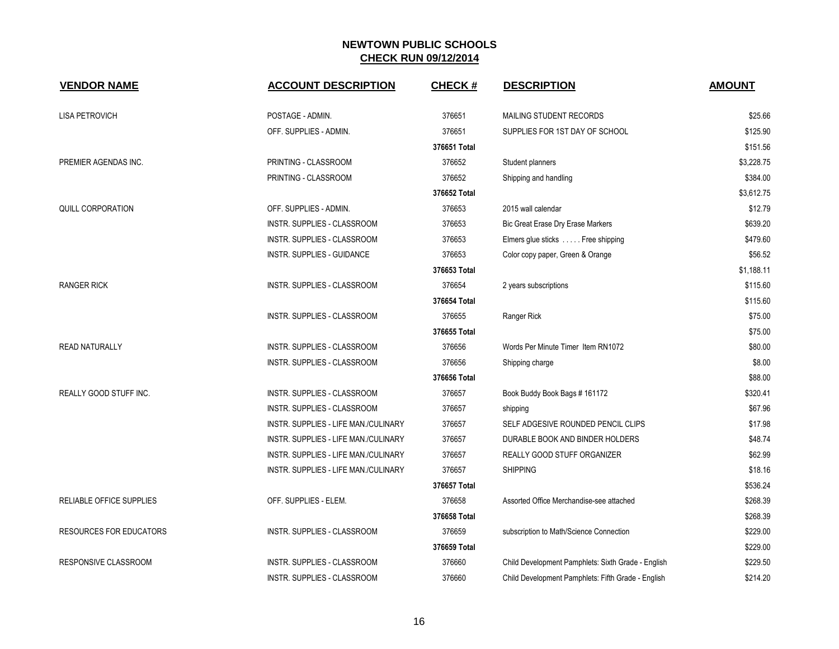| <b>VENDOR NAME</b>             | <b>ACCOUNT DESCRIPTION</b>           | <b>CHECK#</b> | <b>DESCRIPTION</b>                                 | <b>AMOUNT</b> |
|--------------------------------|--------------------------------------|---------------|----------------------------------------------------|---------------|
| <b>LISA PETROVICH</b>          | POSTAGE - ADMIN.                     | 376651        | MAILING STUDENT RECORDS                            | \$25.66       |
|                                | OFF. SUPPLIES - ADMIN.               | 376651        | SUPPLIES FOR 1ST DAY OF SCHOOL                     | \$125.90      |
|                                |                                      | 376651 Total  |                                                    | \$151.56      |
| PREMIER AGENDAS INC.           | PRINTING - CLASSROOM                 | 376652        | Student planners                                   | \$3,228.75    |
|                                | PRINTING - CLASSROOM                 | 376652        | Shipping and handling                              | \$384.00      |
|                                |                                      | 376652 Total  |                                                    | \$3,612.75    |
| <b>QUILL CORPORATION</b>       | OFF. SUPPLIES - ADMIN.               | 376653        | 2015 wall calendar                                 | \$12.79       |
|                                | INSTR. SUPPLIES - CLASSROOM          | 376653        | Bic Great Erase Dry Erase Markers                  | \$639.20      |
|                                | INSTR. SUPPLIES - CLASSROOM          | 376653        | Elmers glue sticks  Free shipping                  | \$479.60      |
|                                | INSTR. SUPPLIES - GUIDANCE           | 376653        | Color copy paper, Green & Orange                   | \$56.52       |
|                                |                                      | 376653 Total  |                                                    | \$1,188.11    |
| <b>RANGER RICK</b>             | INSTR. SUPPLIES - CLASSROOM          | 376654        | 2 years subscriptions                              | \$115.60      |
|                                |                                      | 376654 Total  |                                                    | \$115.60      |
|                                | INSTR. SUPPLIES - CLASSROOM          | 376655        | Ranger Rick                                        | \$75.00       |
|                                |                                      | 376655 Total  |                                                    | \$75.00       |
| <b>READ NATURALLY</b>          | <b>INSTR. SUPPLIES - CLASSROOM</b>   | 376656        | Words Per Minute Timer Item RN1072                 | \$80.00       |
|                                | INSTR. SUPPLIES - CLASSROOM          | 376656        | Shipping charge                                    | \$8.00        |
|                                |                                      | 376656 Total  |                                                    | \$88.00       |
| <b>REALLY GOOD STUFF INC.</b>  | INSTR. SUPPLIES - CLASSROOM          | 376657        | Book Buddy Book Bags # 161172                      | \$320.41      |
|                                | INSTR. SUPPLIES - CLASSROOM          | 376657        | shipping                                           | \$67.96       |
|                                | INSTR. SUPPLIES - LIFE MAN./CULINARY | 376657        | SELF ADGESIVE ROUNDED PENCIL CLIPS                 | \$17.98       |
|                                | INSTR. SUPPLIES - LIFE MAN./CULINARY | 376657        | DURABLE BOOK AND BINDER HOLDERS                    | \$48.74       |
|                                | INSTR. SUPPLIES - LIFE MAN./CULINARY | 376657        | REALLY GOOD STUFF ORGANIZER                        | \$62.99       |
|                                | INSTR. SUPPLIES - LIFE MAN./CULINARY | 376657        | <b>SHIPPING</b>                                    | \$18.16       |
|                                |                                      | 376657 Total  |                                                    | \$536.24      |
| RELIABLE OFFICE SUPPLIES       | OFF. SUPPLIES - ELEM.                | 376658        | Assorted Office Merchandise-see attached           | \$268.39      |
|                                |                                      | 376658 Total  |                                                    | \$268.39      |
| <b>RESOURCES FOR EDUCATORS</b> | INSTR. SUPPLIES - CLASSROOM          | 376659        | subscription to Math/Science Connection            | \$229.00      |
|                                |                                      | 376659 Total  |                                                    | \$229.00      |
| RESPONSIVE CLASSROOM           | INSTR. SUPPLIES - CLASSROOM          | 376660        | Child Development Pamphlets: Sixth Grade - English | \$229.50      |
|                                | INSTR. SUPPLIES - CLASSROOM          | 376660        | Child Development Pamphlets: Fifth Grade - English | \$214.20      |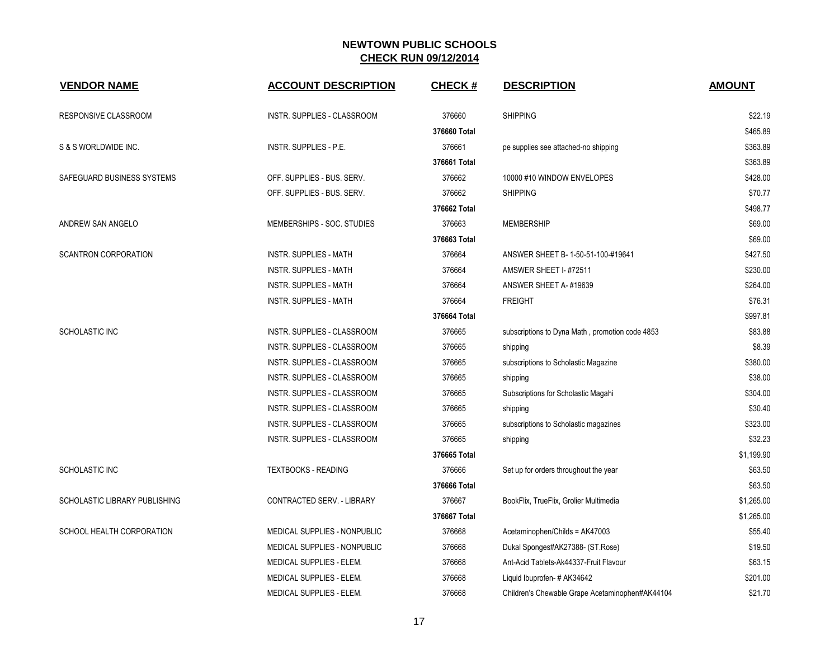| <b>VENDOR NAME</b>                   | <b>ACCOUNT DESCRIPTION</b>      | <b>CHECK#</b> | <b>DESCRIPTION</b>                              | <b>AMOUNT</b> |
|--------------------------------------|---------------------------------|---------------|-------------------------------------------------|---------------|
| RESPONSIVE CLASSROOM                 | INSTR. SUPPLIES - CLASSROOM     | 376660        | <b>SHIPPING</b>                                 | \$22.19       |
|                                      |                                 | 376660 Total  |                                                 | \$465.89      |
| S & S WORLDWIDE INC.                 | INSTR. SUPPLIES - P.E.          | 376661        | pe supplies see attached-no shipping            | \$363.89      |
|                                      |                                 | 376661 Total  |                                                 | \$363.89      |
| SAFEGUARD BUSINESS SYSTEMS           | OFF. SUPPLIES - BUS. SERV.      | 376662        | 10000 #10 WINDOW ENVELOPES                      | \$428.00      |
|                                      | OFF. SUPPLIES - BUS. SERV.      | 376662        | <b>SHIPPING</b>                                 | \$70.77       |
|                                      |                                 | 376662 Total  |                                                 | \$498.77      |
| ANDREW SAN ANGELO                    | MEMBERSHIPS - SOC. STUDIES      | 376663        | <b>MEMBERSHIP</b>                               | \$69.00       |
|                                      |                                 | 376663 Total  |                                                 | \$69.00       |
| <b>SCANTRON CORPORATION</b>          | <b>INSTR. SUPPLIES - MATH</b>   | 376664        | ANSWER SHEET B- 1-50-51-100-#19641              | \$427.50      |
|                                      | INSTR. SUPPLIES - MATH          | 376664        | AMSWER SHEET I- #72511                          | \$230.00      |
|                                      | <b>INSTR. SUPPLIES - MATH</b>   | 376664        | ANSWER SHEET A-#19639                           | \$264.00      |
|                                      | <b>INSTR. SUPPLIES - MATH</b>   | 376664        | <b>FREIGHT</b>                                  | \$76.31       |
|                                      |                                 | 376664 Total  |                                                 | \$997.81      |
| SCHOLASTIC INC                       | INSTR. SUPPLIES - CLASSROOM     | 376665        | subscriptions to Dyna Math, promotion code 4853 | \$83.88       |
|                                      | INSTR. SUPPLIES - CLASSROOM     | 376665        | shipping                                        | \$8.39        |
|                                      | INSTR. SUPPLIES - CLASSROOM     | 376665        | subscriptions to Scholastic Magazine            | \$380.00      |
|                                      | INSTR. SUPPLIES - CLASSROOM     | 376665        | shipping                                        | \$38.00       |
|                                      | INSTR. SUPPLIES - CLASSROOM     | 376665        | Subscriptions for Scholastic Magahi             | \$304.00      |
|                                      | INSTR. SUPPLIES - CLASSROOM     | 376665        | shipping                                        | \$30.40       |
|                                      | INSTR. SUPPLIES - CLASSROOM     | 376665        | subscriptions to Scholastic magazines           | \$323.00      |
|                                      | INSTR. SUPPLIES - CLASSROOM     | 376665        | shipping                                        | \$32.23       |
|                                      |                                 | 376665 Total  |                                                 | \$1,199.90    |
| <b>SCHOLASTIC INC</b>                | <b>TEXTBOOKS - READING</b>      | 376666        | Set up for orders throughout the year           | \$63.50       |
|                                      |                                 | 376666 Total  |                                                 | \$63.50       |
| <b>SCHOLASTIC LIBRARY PUBLISHING</b> | CONTRACTED SERV. - LIBRARY      | 376667        | BookFlix, TrueFlix, Grolier Multimedia          | \$1,265.00    |
|                                      |                                 | 376667 Total  |                                                 | \$1,265.00    |
| SCHOOL HEALTH CORPORATION            | MEDICAL SUPPLIES - NONPUBLIC    | 376668        | Acetaminophen/Childs = AK47003                  | \$55.40       |
|                                      | MEDICAL SUPPLIES - NONPUBLIC    | 376668        | Dukal Sponges#AK27388- (ST.Rose)                | \$19.50       |
|                                      | MEDICAL SUPPLIES - ELEM.        | 376668        | Ant-Acid Tablets-Ak44337-Fruit Flavour          | \$63.15       |
|                                      | <b>MEDICAL SUPPLIES - ELEM.</b> | 376668        | Liquid Ibuprofen-#AK34642                       | \$201.00      |
|                                      | MEDICAL SUPPLIES - ELEM.        | 376668        | Children's Chewable Grape Acetaminophen#AK44104 | \$21.70       |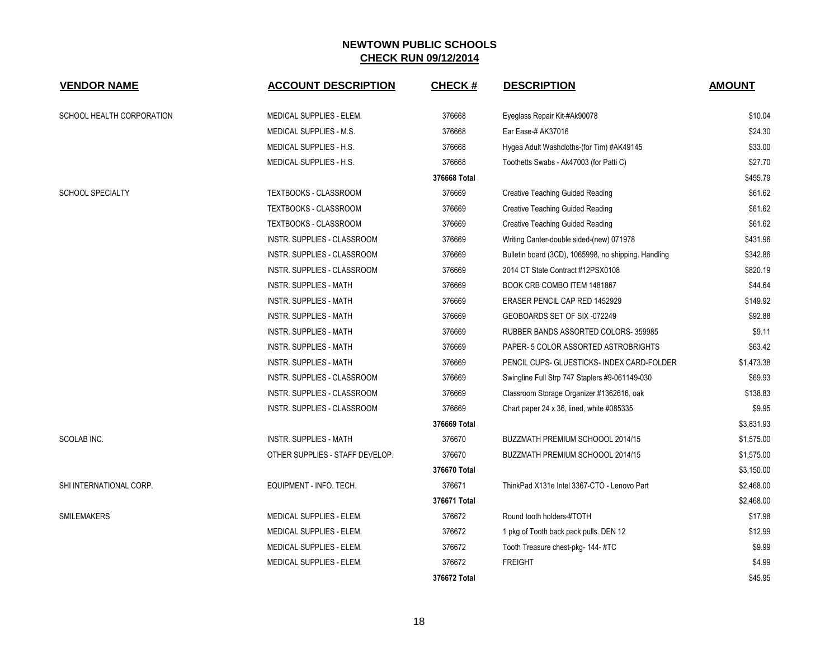| <b>VENDOR NAME</b>        | <b>ACCOUNT DESCRIPTION</b>      | <b>CHECK#</b> | <b>DESCRIPTION</b>                                   | <b>AMOUNT</b> |
|---------------------------|---------------------------------|---------------|------------------------------------------------------|---------------|
| SCHOOL HEALTH CORPORATION | MEDICAL SUPPLIES - ELEM.        | 376668        | Eyeglass Repair Kit-#Ak90078                         | \$10.04       |
|                           | <b>MEDICAL SUPPLIES - M.S.</b>  | 376668        | Ear Ease-# AK37016                                   | \$24.30       |
|                           | MEDICAL SUPPLIES - H.S.         | 376668        | Hygea Adult Washcloths-(for Tim) #AK49145            | \$33.00       |
|                           | MEDICAL SUPPLIES - H.S.         | 376668        | Toothetts Swabs - Ak47003 (for Patti C)              | \$27.70       |
|                           |                                 | 376668 Total  |                                                      | \$455.79      |
| <b>SCHOOL SPECIALTY</b>   | TEXTBOOKS - CLASSROOM           | 376669        | <b>Creative Teaching Guided Reading</b>              | \$61.62       |
|                           | TEXTBOOKS - CLASSROOM           | 376669        | <b>Creative Teaching Guided Reading</b>              | \$61.62       |
|                           | <b>TEXTBOOKS - CLASSROOM</b>    | 376669        | <b>Creative Teaching Guided Reading</b>              | \$61.62       |
|                           | INSTR. SUPPLIES - CLASSROOM     | 376669        | Writing Canter-double sided-(new) 071978             | \$431.96      |
|                           | INSTR. SUPPLIES - CLASSROOM     | 376669        | Bulletin board (3CD), 1065998, no shipping. Handling | \$342.86      |
|                           | INSTR. SUPPLIES - CLASSROOM     | 376669        | 2014 CT State Contract #12PSX0108                    | \$820.19      |
|                           | <b>INSTR. SUPPLIES - MATH</b>   | 376669        | BOOK CRB COMBO ITEM 1481867                          | \$44.64       |
|                           | <b>INSTR. SUPPLIES - MATH</b>   | 376669        | ERASER PENCIL CAP RED 1452929                        | \$149.92      |
|                           | INSTR. SUPPLIES - MATH          | 376669        | GEOBOARDS SET OF SIX -072249                         | \$92.88       |
|                           | <b>INSTR. SUPPLIES - MATH</b>   | 376669        | RUBBER BANDS ASSORTED COLORS-359985                  | \$9.11        |
|                           | <b>INSTR. SUPPLIES - MATH</b>   | 376669        | PAPER- 5 COLOR ASSORTED ASTROBRIGHTS                 | \$63.42       |
|                           | <b>INSTR. SUPPLIES - MATH</b>   | 376669        | PENCIL CUPS- GLUESTICKS- INDEX CARD-FOLDER           | \$1,473.38    |
|                           | INSTR. SUPPLIES - CLASSROOM     | 376669        | Swingline Full Strp 747 Staplers #9-061149-030       | \$69.93       |
|                           | INSTR. SUPPLIES - CLASSROOM     | 376669        | Classroom Storage Organizer #1362616, oak            | \$138.83      |
|                           | INSTR. SUPPLIES - CLASSROOM     | 376669        | Chart paper 24 x 36, lined, white #085335            | \$9.95        |
|                           |                                 | 376669 Total  |                                                      | \$3,831.93    |
| SCOLAB INC.               | <b>INSTR. SUPPLIES - MATH</b>   | 376670        | BUZZMATH PREMIUM SCHOOOL 2014/15                     | \$1,575.00    |
|                           | OTHER SUPPLIES - STAFF DEVELOP. | 376670        | BUZZMATH PREMIUM SCHOOOL 2014/15                     | \$1,575.00    |
|                           |                                 | 376670 Total  |                                                      | \$3,150.00    |
| SHI INTERNATIONAL CORP.   | EQUIPMENT - INFO. TECH.         | 376671        | ThinkPad X131e Intel 3367-CTO - Lenovo Part          | \$2,468.00    |
|                           |                                 | 376671 Total  |                                                      | \$2,468.00    |
| <b>SMILEMAKERS</b>        | MEDICAL SUPPLIES - ELEM.        | 376672        | Round tooth holders-#TOTH                            | \$17.98       |
|                           | MEDICAL SUPPLIES - ELEM.        | 376672        | 1 pkg of Tooth back pack pulls. DEN 12               | \$12.99       |
|                           | MEDICAL SUPPLIES - ELEM.        | 376672        | Tooth Treasure chest-pkg- 144-#TC                    | \$9.99        |
|                           | MEDICAL SUPPLIES - ELEM.        | 376672        | <b>FREIGHT</b>                                       | \$4.99        |
|                           |                                 | 376672 Total  |                                                      | \$45.95       |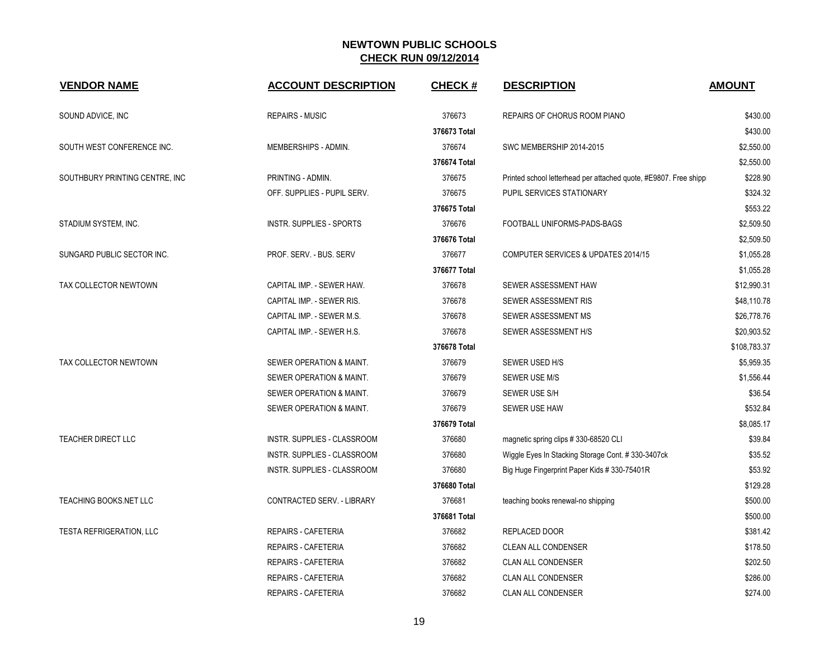| <b>VENDOR NAME</b>              | <b>ACCOUNT DESCRIPTION</b>        | <b>CHECK#</b> | <b>DESCRIPTION</b>                                                | <b>AMOUNT</b> |
|---------------------------------|-----------------------------------|---------------|-------------------------------------------------------------------|---------------|
| SOUND ADVICE, INC               | <b>REPAIRS - MUSIC</b>            | 376673        | REPAIRS OF CHORUS ROOM PIANO                                      | \$430.00      |
|                                 |                                   | 376673 Total  |                                                                   | \$430.00      |
| SOUTH WEST CONFERENCE INC.      | MEMBERSHIPS - ADMIN.              | 376674        | SWC MEMBERSHIP 2014-2015                                          | \$2,550.00    |
|                                 |                                   | 376674 Total  |                                                                   | \$2,550.00    |
| SOUTHBURY PRINTING CENTRE, INC. | PRINTING - ADMIN.                 | 376675        | Printed school letterhead per attached quote, #E9807. Free shippi | \$228.90      |
|                                 | OFF. SUPPLIES - PUPIL SERV.       | 376675        | PUPIL SERVICES STATIONARY                                         | \$324.32      |
|                                 |                                   | 376675 Total  |                                                                   | \$553.22      |
| STADIUM SYSTEM, INC.            | <b>INSTR. SUPPLIES - SPORTS</b>   | 376676        | FOOTBALL UNIFORMS-PADS-BAGS                                       | \$2,509.50    |
|                                 |                                   | 376676 Total  |                                                                   | \$2,509.50    |
| SUNGARD PUBLIC SECTOR INC.      | PROF. SERV. - BUS. SERV           | 376677        | COMPUTER SERVICES & UPDATES 2014/15                               | \$1,055.28    |
|                                 |                                   | 376677 Total  |                                                                   | \$1,055.28    |
| TAX COLLECTOR NEWTOWN           | CAPITAL IMP. - SEWER HAW.         | 376678        | SEWER ASSESSMENT HAW                                              | \$12,990.31   |
|                                 | CAPITAL IMP. - SEWER RIS.         | 376678        | SEWER ASSESSMENT RIS                                              | \$48,110.78   |
|                                 | CAPITAL IMP. - SEWER M.S.         | 376678        | SEWER ASSESSMENT MS                                               | \$26,778.76   |
|                                 | CAPITAL IMP. - SEWER H.S.         | 376678        | SEWER ASSESSMENT H/S                                              | \$20,903.52   |
|                                 |                                   | 376678 Total  |                                                                   | \$108,783.37  |
| TAX COLLECTOR NEWTOWN           | SEWER OPERATION & MAINT.          | 376679        | SEWER USED H/S                                                    | \$5,959.35    |
|                                 | SEWER OPERATION & MAINT.          | 376679        | SEWER USE M/S                                                     | \$1,556.44    |
|                                 | SEWER OPERATION & MAINT.          | 376679        | SEWER USE S/H                                                     | \$36.54       |
|                                 | SEWER OPERATION & MAINT.          | 376679        | SEWER USE HAW                                                     | \$532.84      |
|                                 |                                   | 376679 Total  |                                                                   | \$8.085.17    |
| TEACHER DIRECT LLC              | INSTR. SUPPLIES - CLASSROOM       | 376680        | magnetic spring clips # 330-68520 CLI                             | \$39.84       |
|                                 | INSTR. SUPPLIES - CLASSROOM       | 376680        | Wiggle Eyes In Stacking Storage Cont. #330-3407ck                 | \$35.52       |
|                                 | INSTR. SUPPLIES - CLASSROOM       | 376680        | Big Huge Fingerprint Paper Kids #330-75401R                       | \$53.92       |
|                                 |                                   | 376680 Total  |                                                                   | \$129.28      |
| TEACHING BOOKS.NET LLC          | <b>CONTRACTED SERV. - LIBRARY</b> | 376681        | teaching books renewal-no shipping                                | \$500.00      |
|                                 |                                   | 376681 Total  |                                                                   | \$500.00      |
| <b>TESTA REFRIGERATION, LLC</b> | REPAIRS - CAFETERIA               | 376682        | REPLACED DOOR                                                     | \$381.42      |
|                                 | <b>REPAIRS - CAFETERIA</b>        | 376682        | <b>CLEAN ALL CONDENSER</b>                                        | \$178.50      |
|                                 | <b>REPAIRS - CAFETERIA</b>        | 376682        | <b>CLAN ALL CONDENSER</b>                                         | \$202.50      |
|                                 | <b>REPAIRS - CAFETERIA</b>        | 376682        | <b>CLAN ALL CONDENSER</b>                                         | \$286.00      |
|                                 | <b>REPAIRS - CAFETERIA</b>        | 376682        | <b>CLAN ALL CONDENSER</b>                                         | \$274.00      |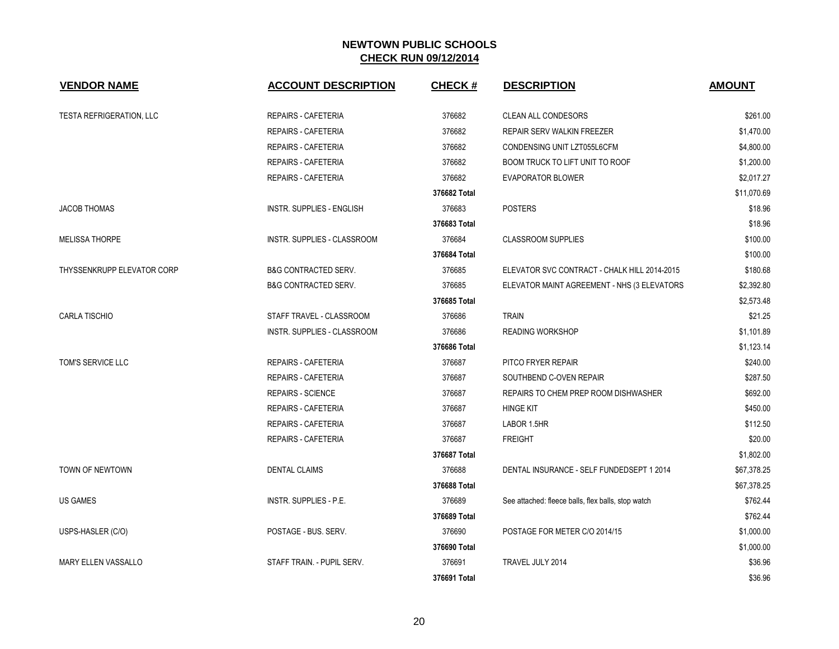| <b>VENDOR NAME</b>              | <b>ACCOUNT DESCRIPTION</b>         | <b>CHECK#</b> | <b>DESCRIPTION</b>                                 | <b>AMOUNT</b> |
|---------------------------------|------------------------------------|---------------|----------------------------------------------------|---------------|
| <b>TESTA REFRIGERATION, LLC</b> | <b>REPAIRS - CAFETERIA</b>         | 376682        | <b>CLEAN ALL CONDESORS</b>                         | \$261.00      |
|                                 | <b>REPAIRS - CAFETERIA</b>         | 376682        | REPAIR SERV WALKIN FREEZER                         | \$1,470.00    |
|                                 | REPAIRS - CAFETERIA                | 376682        | CONDENSING UNIT LZT055L6CFM                        | \$4,800.00    |
|                                 | REPAIRS - CAFETERIA                | 376682        | BOOM TRUCK TO LIFT UNIT TO ROOF                    | \$1,200.00    |
|                                 | REPAIRS - CAFETERIA                | 376682        | <b>EVAPORATOR BLOWER</b>                           | \$2,017.27    |
|                                 |                                    | 376682 Total  |                                                    | \$11,070.69   |
| <b>JACOB THOMAS</b>             | <b>INSTR. SUPPLIES - ENGLISH</b>   | 376683        | <b>POSTERS</b>                                     | \$18.96       |
|                                 |                                    | 376683 Total  |                                                    | \$18.96       |
| <b>MELISSA THORPE</b>           | INSTR. SUPPLIES - CLASSROOM        | 376684        | <b>CLASSROOM SUPPLIES</b>                          | \$100.00      |
|                                 |                                    | 376684 Total  |                                                    | \$100.00      |
| THYSSENKRUPP ELEVATOR CORP      | <b>B&amp;G CONTRACTED SERV.</b>    | 376685        | ELEVATOR SVC CONTRACT - CHALK HILL 2014-2015       | \$180.68      |
|                                 | <b>B&amp;G CONTRACTED SERV.</b>    | 376685        | ELEVATOR MAINT AGREEMENT - NHS (3 ELEVATORS        | \$2,392.80    |
|                                 |                                    | 376685 Total  |                                                    | \$2,573.48    |
| <b>CARLA TISCHIO</b>            | STAFF TRAVEL - CLASSROOM           | 376686        | <b>TRAIN</b>                                       | \$21.25       |
|                                 | <b>INSTR. SUPPLIES - CLASSROOM</b> | 376686        | <b>READING WORKSHOP</b>                            | \$1,101.89    |
|                                 |                                    | 376686 Total  |                                                    | \$1,123.14    |
| TOM'S SERVICE LLC               | <b>REPAIRS - CAFETERIA</b>         | 376687        | PITCO FRYER REPAIR                                 | \$240.00      |
|                                 | REPAIRS - CAFETERIA                | 376687        | SOUTHBEND C-OVEN REPAIR                            | \$287.50      |
|                                 | <b>REPAIRS - SCIENCE</b>           | 376687        | REPAIRS TO CHEM PREP ROOM DISHWASHER               | \$692.00      |
|                                 | REPAIRS - CAFETERIA                | 376687        | <b>HINGE KIT</b>                                   | \$450.00      |
|                                 | <b>REPAIRS - CAFETERIA</b>         | 376687        | LABOR 1.5HR                                        | \$112.50      |
|                                 | <b>REPAIRS - CAFETERIA</b>         | 376687        | <b>FREIGHT</b>                                     | \$20.00       |
|                                 |                                    | 376687 Total  |                                                    | \$1,802.00    |
| TOWN OF NEWTOWN                 | <b>DENTAL CLAIMS</b>               | 376688        | DENTAL INSURANCE - SELF FUNDEDSEPT 1 2014          | \$67,378.25   |
|                                 |                                    | 376688 Total  |                                                    | \$67,378.25   |
| <b>US GAMES</b>                 | INSTR. SUPPLIES - P.E.             | 376689        | See attached: fleece balls, flex balls, stop watch | \$762.44      |
|                                 |                                    | 376689 Total  |                                                    | \$762.44      |
| USPS-HASLER (C/O)               | POSTAGE - BUS. SERV.               | 376690        | POSTAGE FOR METER C/O 2014/15                      | \$1,000.00    |
|                                 |                                    | 376690 Total  |                                                    | \$1,000.00    |
| <b>MARY ELLEN VASSALLO</b>      | STAFF TRAIN. - PUPIL SERV.         | 376691        | TRAVEL JULY 2014                                   | \$36.96       |
|                                 |                                    | 376691 Total  |                                                    | \$36.96       |